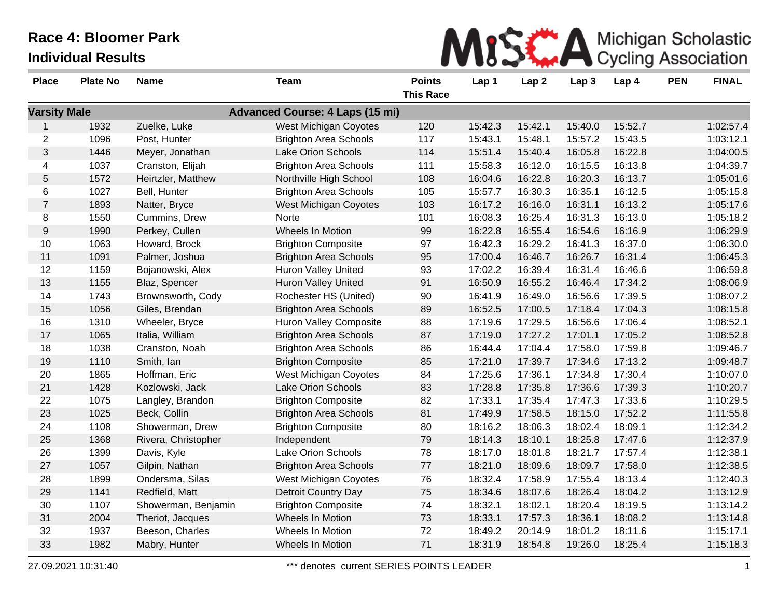

| <b>Place</b>        | <b>Plate No</b> | <b>Name</b>         | <b>Team</b>                            | <b>Points</b>    | Lap 1   | Lap <sub>2</sub> | Lap <sub>3</sub> | Lap 4   | <b>PEN</b> | <b>FINAL</b> |
|---------------------|-----------------|---------------------|----------------------------------------|------------------|---------|------------------|------------------|---------|------------|--------------|
|                     |                 |                     |                                        | <b>This Race</b> |         |                  |                  |         |            |              |
| <b>Varsity Male</b> |                 |                     | <b>Advanced Course: 4 Laps (15 mi)</b> |                  |         |                  |                  |         |            |              |
| $\mathbf{1}$        | 1932            | Zuelke, Luke        | West Michigan Coyotes                  | 120              | 15:42.3 | 15:42.1          | 15:40.0          | 15:52.7 |            | 1:02:57.4    |
| $\overline{c}$      | 1096            | Post, Hunter        | <b>Brighton Area Schools</b>           | 117              | 15:43.1 | 15:48.1          | 15:57.2          | 15:43.5 |            | 1:03:12.1    |
| 3                   | 1446            | Meyer, Jonathan     | Lake Orion Schools                     | 114              | 15:51.4 | 15:40.4          | 16:05.8          | 16:22.8 |            | 1:04:00.5    |
| 4                   | 1037            | Cranston, Elijah    | <b>Brighton Area Schools</b>           | 111              | 15:58.3 | 16:12.0          | 16:15.5          | 16:13.8 |            | 1:04:39.7    |
| 5                   | 1572            | Heirtzler, Matthew  | Northville High School                 | 108              | 16:04.6 | 16:22.8          | 16:20.3          | 16:13.7 |            | 1:05:01.6    |
| 6                   | 1027            | Bell, Hunter        | <b>Brighton Area Schools</b>           | 105              | 15:57.7 | 16:30.3          | 16:35.1          | 16:12.5 |            | 1:05:15.8    |
| $\overline{7}$      | 1893            | Natter, Bryce       | West Michigan Coyotes                  | 103              | 16:17.2 | 16:16.0          | 16:31.1          | 16:13.2 |            | 1:05:17.6    |
| 8                   | 1550            | Cummins, Drew       | Norte                                  | 101              | 16:08.3 | 16:25.4          | 16:31.3          | 16:13.0 |            | 1:05:18.2    |
| $9\,$               | 1990            | Perkey, Cullen      | <b>Wheels In Motion</b>                | 99               | 16:22.8 | 16:55.4          | 16:54.6          | 16:16.9 |            | 1:06:29.9    |
| 10                  | 1063            | Howard, Brock       | <b>Brighton Composite</b>              | 97               | 16:42.3 | 16:29.2          | 16:41.3          | 16:37.0 |            | 1:06:30.0    |
| 11                  | 1091            | Palmer, Joshua      | <b>Brighton Area Schools</b>           | 95               | 17:00.4 | 16:46.7          | 16:26.7          | 16:31.4 |            | 1:06:45.3    |
| 12                  | 1159            | Bojanowski, Alex    | <b>Huron Valley United</b>             | 93               | 17:02.2 | 16:39.4          | 16:31.4          | 16:46.6 |            | 1:06:59.8    |
| 13                  | 1155            | Blaz, Spencer       | Huron Valley United                    | 91               | 16:50.9 | 16:55.2          | 16:46.4          | 17:34.2 |            | 1:08:06.9    |
| 14                  | 1743            | Brownsworth, Cody   | Rochester HS (United)                  | 90               | 16:41.9 | 16:49.0          | 16:56.6          | 17:39.5 |            | 1:08:07.2    |
| 15                  | 1056            | Giles, Brendan      | <b>Brighton Area Schools</b>           | 89               | 16:52.5 | 17:00.5          | 17:18.4          | 17:04.3 |            | 1:08:15.8    |
| 16                  | 1310            | Wheeler, Bryce      | <b>Huron Valley Composite</b>          | 88               | 17:19.6 | 17:29.5          | 16:56.6          | 17:06.4 |            | 1:08:52.1    |
| 17                  | 1065            | Italia, William     | <b>Brighton Area Schools</b>           | 87               | 17:19.0 | 17:27.2          | 17:01.1          | 17:05.2 |            | 1:08:52.8    |
| 18                  | 1038            | Cranston, Noah      | <b>Brighton Area Schools</b>           | 86               | 16:44.4 | 17:04.4          | 17:58.0          | 17:59.8 |            | 1:09:46.7    |
| 19                  | 1110            | Smith, Ian          | <b>Brighton Composite</b>              | 85               | 17:21.0 | 17:39.7          | 17:34.6          | 17:13.2 |            | 1:09:48.7    |
| 20                  | 1865            | Hoffman, Eric       | <b>West Michigan Coyotes</b>           | 84               | 17:25.6 | 17:36.1          | 17:34.8          | 17:30.4 |            | 1:10:07.0    |
| 21                  | 1428            | Kozlowski, Jack     | Lake Orion Schools                     | 83               | 17:28.8 | 17:35.8          | 17:36.6          | 17:39.3 |            | 1:10:20.7    |
| 22                  | 1075            | Langley, Brandon    | <b>Brighton Composite</b>              | 82               | 17:33.1 | 17:35.4          | 17:47.3          | 17:33.6 |            | 1:10:29.5    |
| 23                  | 1025            | Beck, Collin        | <b>Brighton Area Schools</b>           | 81               | 17:49.9 | 17:58.5          | 18:15.0          | 17:52.2 |            | 1:11:55.8    |
| 24                  | 1108            | Showerman, Drew     | <b>Brighton Composite</b>              | 80               | 18:16.2 | 18:06.3          | 18:02.4          | 18:09.1 |            | 1:12:34.2    |
| 25                  | 1368            | Rivera, Christopher | Independent                            | 79               | 18:14.3 | 18:10.1          | 18:25.8          | 17:47.6 |            | 1:12:37.9    |
| 26                  | 1399            | Davis, Kyle         | Lake Orion Schools                     | 78               | 18:17.0 | 18:01.8          | 18:21.7          | 17:57.4 |            | 1:12:38.1    |
| 27                  | 1057            | Gilpin, Nathan      | <b>Brighton Area Schools</b>           | 77               | 18:21.0 | 18:09.6          | 18:09.7          | 17:58.0 |            | 1:12:38.5    |
| 28                  | 1899            | Ondersma, Silas     | West Michigan Coyotes                  | 76               | 18:32.4 | 17:58.9          | 17:55.4          | 18:13.4 |            | 1:12:40.3    |
| 29                  | 1141            | Redfield, Matt      | Detroit Country Day                    | 75               | 18:34.6 | 18:07.6          | 18:26.4          | 18:04.2 |            | 1:13:12.9    |
| 30                  | 1107            | Showerman, Benjamin | <b>Brighton Composite</b>              | 74               | 18:32.1 | 18:02.1          | 18:20.4          | 18:19.5 |            | 1:13:14.2    |
| 31                  | 2004            | Theriot, Jacques    | Wheels In Motion                       | 73               | 18:33.1 | 17:57.3          | 18:36.1          | 18:08.2 |            | 1:13:14.8    |
| 32                  | 1937            | Beeson, Charles     | Wheels In Motion                       | 72               | 18:49.2 | 20:14.9          | 18:01.2          | 18:11.6 |            | 1:15:17.1    |
| 33                  | 1982            | Mabry, Hunter       | <b>Wheels In Motion</b>                | 71               | 18:31.9 | 18:54.8          | 19:26.0          | 18:25.4 |            | 1:15:18.3    |
|                     |                 |                     |                                        |                  |         |                  |                  |         |            |              |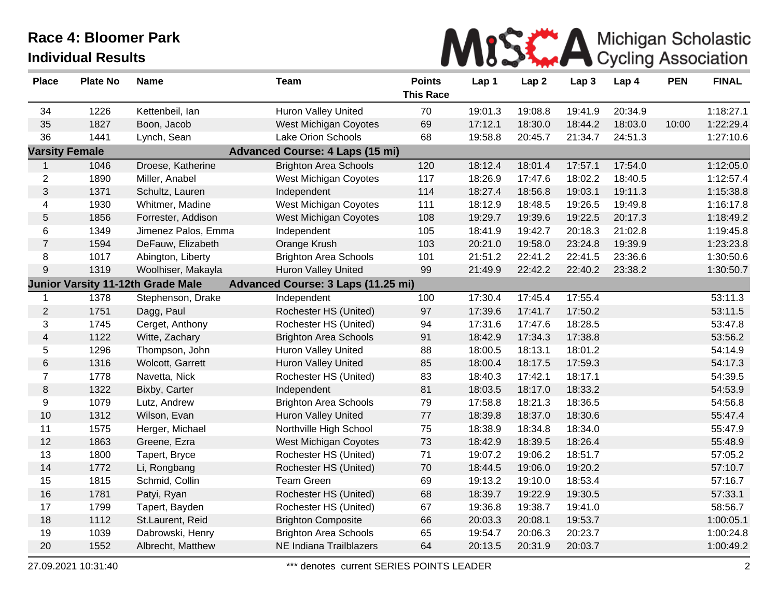

| <b>Place</b>          | <b>Plate No</b> | <b>Name</b>                              | <b>Team</b>                            | <b>Points</b><br><b>This Race</b> | Lap 1   | Lap <sub>2</sub> | Lap <sub>3</sub> | Lap 4   | <b>PEN</b> | <b>FINAL</b> |
|-----------------------|-----------------|------------------------------------------|----------------------------------------|-----------------------------------|---------|------------------|------------------|---------|------------|--------------|
| 34                    | 1226            | Kettenbeil, Ian                          | <b>Huron Valley United</b>             | 70                                | 19:01.3 | 19:08.8          | 19:41.9          | 20:34.9 |            | 1:18:27.1    |
| 35                    | 1827            | Boon, Jacob                              | West Michigan Coyotes                  | 69                                | 17:12.1 | 18:30.0          | 18:44.2          | 18:03.0 | 10:00      | 1:22:29.4    |
| 36                    | 1441            | Lynch, Sean                              | Lake Orion Schools                     | 68                                | 19:58.8 | 20:45.7          | 21:34.7          | 24:51.3 |            | 1:27:10.6    |
| <b>Varsity Female</b> |                 |                                          | <b>Advanced Course: 4 Laps (15 mi)</b> |                                   |         |                  |                  |         |            |              |
| 1                     | 1046            | Droese, Katherine                        | <b>Brighton Area Schools</b>           | 120                               | 18:12.4 | 18:01.4          | 17:57.1          | 17:54.0 |            | 1:12:05.0    |
| $\overline{2}$        | 1890            | Miller, Anabel                           | West Michigan Coyotes                  | 117                               | 18:26.9 | 17:47.6          | 18:02.2          | 18:40.5 |            | 1:12:57.4    |
| 3                     | 1371            | Schultz, Lauren                          | Independent                            | 114                               | 18:27.4 | 18:56.8          | 19:03.1          | 19:11.3 |            | 1:15:38.8    |
| 4                     | 1930            | Whitmer, Madine                          | West Michigan Coyotes                  | 111                               | 18:12.9 | 18:48.5          | 19:26.5          | 19:49.8 |            | 1:16:17.8    |
| 5                     | 1856            | Forrester, Addison                       | West Michigan Coyotes                  | 108                               | 19:29.7 | 19:39.6          | 19:22.5          | 20:17.3 |            | 1:18:49.2    |
| $\,6$                 | 1349            | Jimenez Palos, Emma                      | Independent                            | 105                               | 18:41.9 | 19:42.7          | 20:18.3          | 21:02.8 |            | 1:19:45.8    |
| $\overline{7}$        | 1594            | DeFauw, Elizabeth                        | Orange Krush                           | 103                               | 20:21.0 | 19:58.0          | 23:24.8          | 19:39.9 |            | 1:23:23.8    |
| 8                     | 1017            | Abington, Liberty                        | <b>Brighton Area Schools</b>           | 101                               | 21:51.2 | 22:41.2          | 22:41.5          | 23:36.6 |            | 1:30:50.6    |
| 9                     | 1319            | Woolhiser, Makayla                       | Huron Valley United                    | 99                                | 21:49.9 | 22:42.2          | 22:40.2          | 23:38.2 |            | 1:30:50.7    |
|                       |                 | <b>Junior Varsity 11-12th Grade Male</b> | Advanced Course: 3 Laps (11.25 mi)     |                                   |         |                  |                  |         |            |              |
|                       | 1378            | Stephenson, Drake                        | Independent                            | 100                               | 17:30.4 | 17:45.4          | 17:55.4          |         |            | 53:11.3      |
| $\overline{2}$        | 1751            | Dagg, Paul                               | Rochester HS (United)                  | 97                                | 17:39.6 | 17:41.7          | 17:50.2          |         |            | 53:11.5      |
| 3                     | 1745            | Cerget, Anthony                          | Rochester HS (United)                  | 94                                | 17:31.6 | 17:47.6          | 18:28.5          |         |            | 53:47.8      |
| 4                     | 1122            | Witte, Zachary                           | <b>Brighton Area Schools</b>           | 91                                | 18:42.9 | 17:34.3          | 17:38.8          |         |            | 53:56.2      |
| 5                     | 1296            | Thompson, John                           | <b>Huron Valley United</b>             | 88                                | 18:00.5 | 18:13.1          | 18:01.2          |         |            | 54:14.9      |
| 6                     | 1316            | Wolcott, Garrett                         | <b>Huron Valley United</b>             | 85                                | 18:00.4 | 18:17.5          | 17:59.3          |         |            | 54:17.3      |
| $\overline{7}$        | 1778            | Navetta, Nick                            | Rochester HS (United)                  | 83                                | 18:40.3 | 17:42.1          | 18:17.1          |         |            | 54:39.5      |
| $\,8\,$               | 1322            | Bixby, Carter                            | Independent                            | 81                                | 18:03.5 | 18:17.0          | 18:33.2          |         |            | 54:53.9      |
| 9                     | 1079            | Lutz, Andrew                             | <b>Brighton Area Schools</b>           | 79                                | 17:58.8 | 18:21.3          | 18:36.5          |         |            | 54:56.8      |
| 10                    | 1312            | Wilson, Evan                             | <b>Huron Valley United</b>             | 77                                | 18:39.8 | 18:37.0          | 18:30.6          |         |            | 55:47.4      |
| 11                    | 1575            | Herger, Michael                          | Northville High School                 | 75                                | 18:38.9 | 18:34.8          | 18:34.0          |         |            | 55:47.9      |
| 12                    | 1863            | Greene, Ezra                             | West Michigan Coyotes                  | 73                                | 18:42.9 | 18:39.5          | 18:26.4          |         |            | 55:48.9      |
| 13                    | 1800            | Tapert, Bryce                            | Rochester HS (United)                  | 71                                | 19:07.2 | 19:06.2          | 18:51.7          |         |            | 57:05.2      |
| 14                    | 1772            | Li, Rongbang                             | Rochester HS (United)                  | 70                                | 18:44.5 | 19:06.0          | 19:20.2          |         |            | 57:10.7      |
| 15                    | 1815            | Schmid, Collin                           | <b>Team Green</b>                      | 69                                | 19:13.2 | 19:10.0          | 18:53.4          |         |            | 57:16.7      |
| 16                    | 1781            | Patyi, Ryan                              | Rochester HS (United)                  | 68                                | 18:39.7 | 19:22.9          | 19:30.5          |         |            | 57:33.1      |
| 17                    | 1799            | Tapert, Bayden                           | Rochester HS (United)                  | 67                                | 19:36.8 | 19:38.7          | 19:41.0          |         |            | 58:56.7      |
| 18                    | 1112            | St.Laurent, Reid                         | <b>Brighton Composite</b>              | 66                                | 20:03.3 | 20:08.1          | 19:53.7          |         |            | 1:00:05.1    |
| 19                    | 1039            | Dabrowski, Henry                         | <b>Brighton Area Schools</b>           | 65                                | 19:54.7 | 20:06.3          | 20:23.7          |         |            | 1:00:24.8    |
| 20                    | 1552            | Albrecht, Matthew                        | NE Indiana Trailblazers                | 64                                | 20:13.5 | 20:31.9          | 20:03.7          |         |            | 1:00:49.2    |

27.09.2021 10:31:40 \*\*\* denotes current SERIES POINTS LEADER 2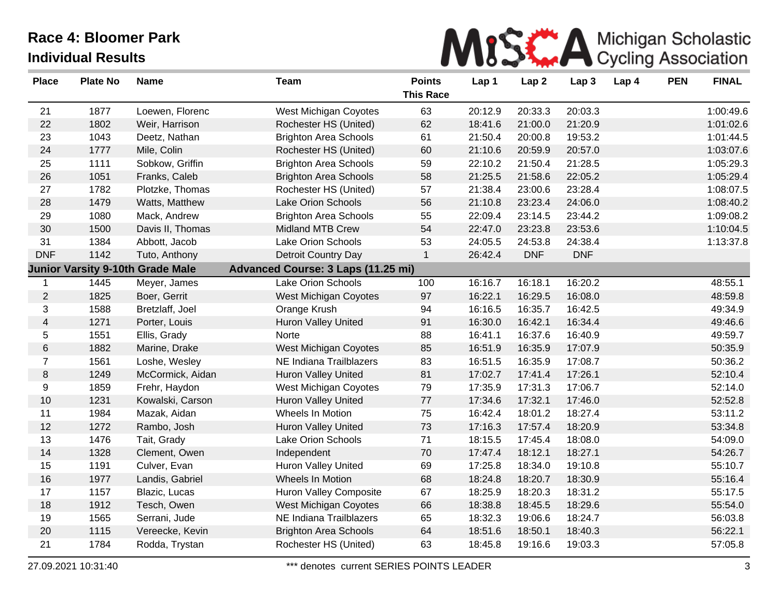

| <b>Place</b>     | <b>Plate No</b> | <b>Name</b>                             | <b>Team</b>                        | <b>Points</b><br><b>This Race</b> | Lap 1   | Lap <sub>2</sub> | Lap <sub>3</sub> | Lap 4 | <b>PEN</b> | <b>FINAL</b> |
|------------------|-----------------|-----------------------------------------|------------------------------------|-----------------------------------|---------|------------------|------------------|-------|------------|--------------|
| 21               | 1877            | Loewen, Florenc                         | West Michigan Coyotes              | 63                                | 20:12.9 | 20:33.3          | 20:03.3          |       |            | 1:00:49.6    |
| 22               | 1802            | Weir, Harrison                          | Rochester HS (United)              | 62                                | 18:41.6 | 21:00.0          | 21:20.9          |       |            | 1:01:02.6    |
| 23               | 1043            | Deetz, Nathan                           | <b>Brighton Area Schools</b>       | 61                                | 21:50.4 | 20:00.8          | 19:53.2          |       |            | 1:01:44.5    |
| 24               | 1777            | Mile, Colin                             | Rochester HS (United)              | 60                                | 21:10.6 | 20:59.9          | 20:57.0          |       |            | 1:03:07.6    |
| 25               | 1111            | Sobkow, Griffin                         | <b>Brighton Area Schools</b>       | 59                                | 22:10.2 | 21:50.4          | 21:28.5          |       |            | 1:05:29.3    |
| 26               | 1051            | Franks, Caleb                           | <b>Brighton Area Schools</b>       | 58                                | 21:25.5 | 21:58.6          | 22:05.2          |       |            | 1:05:29.4    |
| 27               | 1782            | Plotzke, Thomas                         | Rochester HS (United)              | 57                                | 21:38.4 | 23:00.6          | 23:28.4          |       |            | 1:08:07.5    |
| 28               | 1479            | Watts, Matthew                          | Lake Orion Schools                 | 56                                | 21:10.8 | 23:23.4          | 24:06.0          |       |            | 1:08:40.2    |
| 29               | 1080            | Mack, Andrew                            | <b>Brighton Area Schools</b>       | 55                                | 22:09.4 | 23:14.5          | 23:44.2          |       |            | 1:09:08.2    |
| 30               | 1500            | Davis II, Thomas                        | <b>Midland MTB Crew</b>            | 54                                | 22:47.0 | 23:23.8          | 23:53.6          |       |            | 1:10:04.5    |
| 31               | 1384            | Abbott, Jacob                           | Lake Orion Schools                 | 53                                | 24:05.5 | 24:53.8          | 24:38.4          |       |            | 1:13:37.8    |
| <b>DNF</b>       | 1142            | Tuto, Anthony                           | Detroit Country Day                | $\mathbf{1}$                      | 26:42.4 | <b>DNF</b>       | <b>DNF</b>       |       |            |              |
|                  |                 | <b>Junior Varsity 9-10th Grade Male</b> | Advanced Course: 3 Laps (11.25 mi) |                                   |         |                  |                  |       |            |              |
| $\mathbf{1}$     | 1445            | Meyer, James                            | Lake Orion Schools                 | 100                               | 16:16.7 | 16:18.1          | 16:20.2          |       |            | 48:55.1      |
| $\overline{2}$   | 1825            | Boer, Gerrit                            | West Michigan Coyotes              | 97                                | 16:22.1 | 16:29.5          | 16:08.0          |       |            | 48:59.8      |
| 3                | 1588            | Bretzlaff, Joel                         | Orange Krush                       | 94                                | 16:16.5 | 16:35.7          | 16:42.5          |       |            | 49:34.9      |
| $\overline{4}$   | 1271            | Porter, Louis                           | <b>Huron Valley United</b>         | 91                                | 16:30.0 | 16:42.1          | 16:34.4          |       |            | 49:46.6      |
| 5                | 1551            | Ellis, Grady                            | Norte                              | 88                                | 16:41.1 | 16:37.6          | 16:40.9          |       |            | 49:59.7      |
| $\,6\,$          | 1882            | Marine, Drake                           | West Michigan Coyotes              | 85                                | 16:51.9 | 16:35.9          | 17:07.9          |       |            | 50:35.9      |
| $\overline{7}$   | 1561            | Loshe, Wesley                           | NE Indiana Trailblazers            | 83                                | 16:51.5 | 16:35.9          | 17:08.7          |       |            | 50:36.2      |
| $\, 8$           | 1249            | McCormick, Aidan                        | <b>Huron Valley United</b>         | 81                                | 17:02.7 | 17:41.4          | 17:26.1          |       |            | 52:10.4      |
| $\boldsymbol{9}$ | 1859            | Frehr, Haydon                           | West Michigan Coyotes              | 79                                | 17:35.9 | 17:31.3          | 17:06.7          |       |            | 52:14.0      |
| 10               | 1231            | Kowalski, Carson                        | <b>Huron Valley United</b>         | 77                                | 17:34.6 | 17:32.1          | 17:46.0          |       |            | 52:52.8      |
| 11               | 1984            | Mazak, Aidan                            | Wheels In Motion                   | 75                                | 16:42.4 | 18:01.2          | 18:27.4          |       |            | 53:11.2      |
| 12               | 1272            | Rambo, Josh                             | <b>Huron Valley United</b>         | 73                                | 17:16.3 | 17:57.4          | 18:20.9          |       |            | 53:34.8      |
| 13               | 1476            | Tait, Grady                             | Lake Orion Schools                 | 71                                | 18:15.5 | 17:45.4          | 18:08.0          |       |            | 54:09.0      |
| 14               | 1328            | Clement, Owen                           | Independent                        | 70                                | 17:47.4 | 18:12.1          | 18:27.1          |       |            | 54:26.7      |
| 15               | 1191            | Culver, Evan                            | <b>Huron Valley United</b>         | 69                                | 17:25.8 | 18:34.0          | 19:10.8          |       |            | 55:10.7      |
| 16               | 1977            | Landis, Gabriel                         | Wheels In Motion                   | 68                                | 18:24.8 | 18:20.7          | 18:30.9          |       |            | 55:16.4      |
| 17               | 1157            | Blazic, Lucas                           | Huron Valley Composite             | 67                                | 18:25.9 | 18:20.3          | 18:31.2          |       |            | 55:17.5      |
| 18               | 1912            | Tesch, Owen                             | West Michigan Coyotes              | 66                                | 18:38.8 | 18:45.5          | 18:29.6          |       |            | 55:54.0      |
| 19               | 1565            | Serrani, Jude                           | NE Indiana Trailblazers            | 65                                | 18:32.3 | 19:06.6          | 18:24.7          |       |            | 56:03.8      |
| 20               | 1115            | Vereecke, Kevin                         | <b>Brighton Area Schools</b>       | 64                                | 18:51.6 | 18:50.1          | 18:40.3          |       |            | 56:22.1      |
| 21               | 1784            | Rodda, Trystan                          | Rochester HS (United)              | 63                                | 18:45.8 | 19:16.6          | 19:03.3          |       |            | 57:05.8      |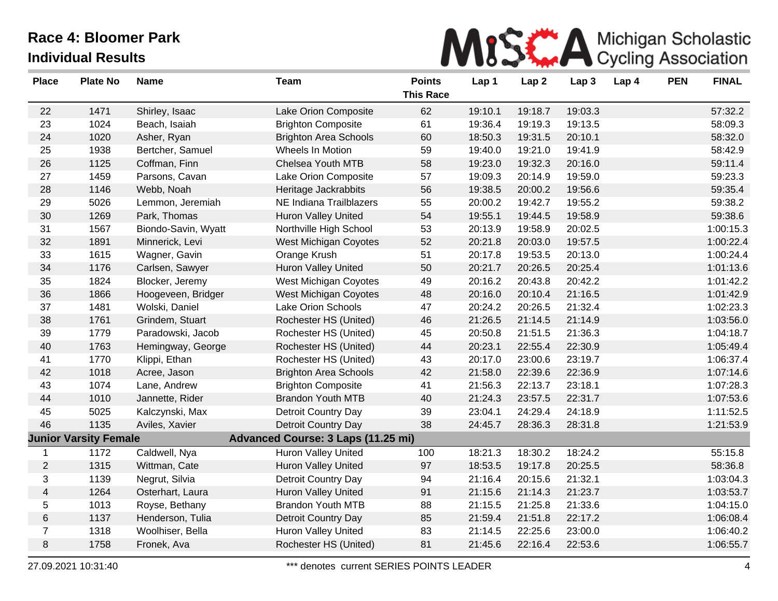

| <b>Place</b>   | <b>Plate No</b>              | <b>Name</b>         | <b>Team</b>                        | <b>Points</b><br><b>This Race</b> | Lap 1   | Lap <sub>2</sub> | Lap <sub>3</sub> | Lap 4 | <b>PEN</b> | <b>FINAL</b> |
|----------------|------------------------------|---------------------|------------------------------------|-----------------------------------|---------|------------------|------------------|-------|------------|--------------|
| 22             | 1471                         | Shirley, Isaac      | Lake Orion Composite               | 62                                | 19:10.1 | 19:18.7          | 19:03.3          |       |            | 57:32.2      |
| 23             | 1024                         | Beach, Isaiah       | <b>Brighton Composite</b>          | 61                                | 19:36.4 | 19:19.3          | 19:13.5          |       |            | 58:09.3      |
| 24             | 1020                         | Asher, Ryan         | <b>Brighton Area Schools</b>       | 60                                | 18:50.3 | 19:31.5          | 20:10.1          |       |            | 58:32.0      |
| 25             | 1938                         | Bertcher, Samuel    | Wheels In Motion                   | 59                                | 19:40.0 | 19:21.0          | 19:41.9          |       |            | 58:42.9      |
| 26             | 1125                         | Coffman, Finn       | Chelsea Youth MTB                  | 58                                | 19:23.0 | 19:32.3          | 20:16.0          |       |            | 59:11.4      |
| 27             | 1459                         | Parsons, Cavan      | Lake Orion Composite               | 57                                | 19:09.3 | 20:14.9          | 19:59.0          |       |            | 59:23.3      |
| 28             | 1146                         | Webb, Noah          | Heritage Jackrabbits               | 56                                | 19:38.5 | 20:00.2          | 19:56.6          |       |            | 59:35.4      |
| 29             | 5026                         | Lemmon, Jeremiah    | NE Indiana Trailblazers            | 55                                | 20:00.2 | 19:42.7          | 19:55.2          |       |            | 59:38.2      |
| 30             | 1269                         | Park, Thomas        | <b>Huron Valley United</b>         | 54                                | 19:55.1 | 19:44.5          | 19:58.9          |       |            | 59:38.6      |
| 31             | 1567                         | Biondo-Savin, Wyatt | Northville High School             | 53                                | 20:13.9 | 19:58.9          | 20:02.5          |       |            | 1:00:15.3    |
| 32             | 1891                         | Minnerick, Levi     | <b>West Michigan Coyotes</b>       | 52                                | 20:21.8 | 20:03.0          | 19:57.5          |       |            | 1:00:22.4    |
| 33             | 1615                         | Wagner, Gavin       | Orange Krush                       | 51                                | 20:17.8 | 19:53.5          | 20:13.0          |       |            | 1:00:24.4    |
| 34             | 1176                         | Carlsen, Sawyer     | Huron Valley United                | 50                                | 20:21.7 | 20:26.5          | 20:25.4          |       |            | 1:01:13.6    |
| 35             | 1824                         | Blocker, Jeremy     | West Michigan Coyotes              | 49                                | 20:16.2 | 20:43.8          | 20:42.2          |       |            | 1:01:42.2    |
| 36             | 1866                         | Hoogeveen, Bridger  | <b>West Michigan Coyotes</b>       | 48                                | 20:16.0 | 20:10.4          | 21:16.5          |       |            | 1:01:42.9    |
| 37             | 1481                         | Wolski, Daniel      | Lake Orion Schools                 | 47                                | 20:24.2 | 20:26.5          | 21:32.4          |       |            | 1:02:23.3    |
| 38             | 1761                         | Grindem, Stuart     | Rochester HS (United)              | 46                                | 21:26.5 | 21:14.5          | 21:14.9          |       |            | 1:03:56.0    |
| 39             | 1779                         | Paradowski, Jacob   | Rochester HS (United)              | 45                                | 20:50.8 | 21:51.5          | 21:36.3          |       |            | 1:04:18.7    |
| 40             | 1763                         | Hemingway, George   | Rochester HS (United)              | 44                                | 20:23.1 | 22:55.4          | 22:30.9          |       |            | 1:05:49.4    |
| 41             | 1770                         | Klippi, Ethan       | Rochester HS (United)              | 43                                | 20:17.0 | 23:00.6          | 23:19.7          |       |            | 1:06:37.4    |
| 42             | 1018                         | Acree, Jason        | <b>Brighton Area Schools</b>       | 42                                | 21:58.0 | 22:39.6          | 22:36.9          |       |            | 1:07:14.6    |
| 43             | 1074                         | Lane, Andrew        | <b>Brighton Composite</b>          | 41                                | 21:56.3 | 22:13.7          | 23:18.1          |       |            | 1:07:28.3    |
| 44             | 1010                         | Jannette, Rider     | <b>Brandon Youth MTB</b>           | 40                                | 21:24.3 | 23:57.5          | 22:31.7          |       |            | 1:07:53.6    |
| 45             | 5025                         | Kalczynski, Max     | Detroit Country Day                | 39                                | 23:04.1 | 24:29.4          | 24:18.9          |       |            | 1:11:52.5    |
| 46             | 1135                         | Aviles, Xavier      | Detroit Country Day                | 38                                | 24:45.7 | 28:36.3          | 28:31.8          |       |            | 1:21:53.9    |
|                | <b>Junior Varsity Female</b> |                     | Advanced Course: 3 Laps (11.25 mi) |                                   |         |                  |                  |       |            |              |
| 1              | 1172                         | Caldwell, Nya       | <b>Huron Valley United</b>         | 100                               | 18:21.3 | 18:30.2          | 18:24.2          |       |            | 55:15.8      |
| $\overline{2}$ | 1315                         | Wittman, Cate       | Huron Valley United                | 97                                | 18:53.5 | 19:17.8          | 20:25.5          |       |            | 58:36.8      |
| 3              | 1139                         | Negrut, Silvia      | Detroit Country Day                | 94                                | 21:16.4 | 20:15.6          | 21:32.1          |       |            | 1:03:04.3    |
| 4              | 1264                         | Osterhart, Laura    | <b>Huron Valley United</b>         | 91                                | 21:15.6 | 21:14.3          | 21:23.7          |       |            | 1:03:53.7    |
| 5              | 1013                         | Royse, Bethany      | <b>Brandon Youth MTB</b>           | 88                                | 21:15.5 | 21:25.8          | 21:33.6          |       |            | 1:04:15.0    |
| $\,6\,$        | 1137                         | Henderson, Tulia    | Detroit Country Day                | 85                                | 21:59.4 | 21:51.8          | 22:17.2          |       |            | 1:06:08.4    |
| $\overline{7}$ | 1318                         | Woolhiser, Bella    | <b>Huron Valley United</b>         | 83                                | 21:14.5 | 22:25.6          | 23:00.0          |       |            | 1:06:40.2    |
| 8              | 1758                         | Fronek, Ava         | Rochester HS (United)              | 81                                | 21:45.6 | 22:16.4          | 22:53.6          |       |            | 1:06:55.7    |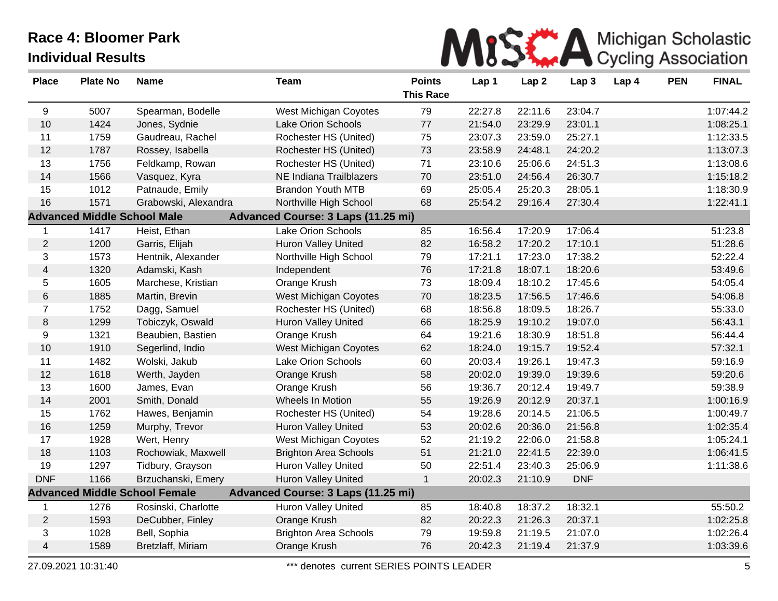

| <b>Place</b>   | <b>Plate No</b>                    | <b>Name</b>                          | <b>Team</b>                        | <b>Points</b><br><b>This Race</b> | Lap 1   | Lap <sub>2</sub> | Lap 3      | Lap 4 | <b>PEN</b> | <b>FINAL</b> |
|----------------|------------------------------------|--------------------------------------|------------------------------------|-----------------------------------|---------|------------------|------------|-------|------------|--------------|
| 9              | 5007                               | Spearman, Bodelle                    | West Michigan Coyotes              | 79                                | 22:27.8 | 22:11.6          | 23:04.7    |       |            | 1:07:44.2    |
| 10             | 1424                               | Jones, Sydnie                        | <b>Lake Orion Schools</b>          | 77                                | 21:54.0 | 23:29.9          | 23:01.1    |       |            | 1:08:25.1    |
| 11             | 1759                               | Gaudreau, Rachel                     | Rochester HS (United)              | 75                                | 23:07.3 | 23:59.0          | 25:27.1    |       |            | 1:12:33.5    |
| 12             | 1787                               | Rossey, Isabella                     | Rochester HS (United)              | 73                                | 23:58.9 | 24:48.1          | 24:20.2    |       |            | 1:13:07.3    |
| 13             | 1756                               | Feldkamp, Rowan                      | Rochester HS (United)              | 71                                | 23:10.6 | 25:06.6          | 24:51.3    |       |            | 1:13:08.6    |
| 14             | 1566                               | Vasquez, Kyra                        | NE Indiana Trailblazers            | 70                                | 23:51.0 | 24:56.4          | 26:30.7    |       |            | 1:15:18.2    |
| 15             | 1012                               | Patnaude, Emily                      | <b>Brandon Youth MTB</b>           | 69                                | 25:05.4 | 25:20.3          | 28:05.1    |       |            | 1:18:30.9    |
| 16             | 1571                               | Grabowski, Alexandra                 | Northville High School             | 68                                | 25:54.2 | 29:16.4          | 27:30.4    |       |            | 1:22:41.1    |
|                | <b>Advanced Middle School Male</b> |                                      | Advanced Course: 3 Laps (11.25 mi) |                                   |         |                  |            |       |            |              |
| 1              | 1417                               | Heist, Ethan                         | Lake Orion Schools                 | 85                                | 16:56.4 | 17:20.9          | 17:06.4    |       |            | 51:23.8      |
| $\overline{2}$ | 1200                               | Garris, Elijah                       | <b>Huron Valley United</b>         | 82                                | 16:58.2 | 17:20.2          | 17:10.1    |       |            | 51:28.6      |
| 3              | 1573                               | Hentnik, Alexander                   | Northville High School             | 79                                | 17:21.1 | 17:23.0          | 17:38.2    |       |            | 52:22.4      |
| 4              | 1320                               | Adamski, Kash                        | Independent                        | 76                                | 17:21.8 | 18:07.1          | 18:20.6    |       |            | 53:49.6      |
| 5              | 1605                               | Marchese, Kristian                   | Orange Krush                       | 73                                | 18:09.4 | 18:10.2          | 17:45.6    |       |            | 54:05.4      |
| 6              | 1885                               | Martin, Brevin                       | West Michigan Coyotes              | 70                                | 18:23.5 | 17:56.5          | 17:46.6    |       |            | 54:06.8      |
| $\overline{7}$ | 1752                               | Dagg, Samuel                         | Rochester HS (United)              | 68                                | 18:56.8 | 18:09.5          | 18:26.7    |       |            | 55:33.0      |
| 8              | 1299                               | Tobiczyk, Oswald                     | <b>Huron Valley United</b>         | 66                                | 18:25.9 | 19:10.2          | 19:07.0    |       |            | 56:43.1      |
| 9              | 1321                               | Beaubien, Bastien                    | Orange Krush                       | 64                                | 19:21.6 | 18:30.9          | 18:51.8    |       |            | 56:44.4      |
| $10$           | 1910                               | Segerlind, Indio                     | West Michigan Coyotes              | 62                                | 18:24.0 | 19:15.7          | 19:52.4    |       |            | 57:32.1      |
| 11             | 1482                               | Wolski, Jakub                        | <b>Lake Orion Schools</b>          | 60                                | 20:03.4 | 19:26.1          | 19:47.3    |       |            | 59:16.9      |
| 12             | 1618                               | Werth, Jayden                        | Orange Krush                       | 58                                | 20:02.0 | 19:39.0          | 19:39.6    |       |            | 59:20.6      |
| 13             | 1600                               | James, Evan                          | Orange Krush                       | 56                                | 19:36.7 | 20:12.4          | 19:49.7    |       |            | 59:38.9      |
| 14             | 2001                               | Smith, Donald                        | Wheels In Motion                   | 55                                | 19:26.9 | 20:12.9          | 20:37.1    |       |            | 1:00:16.9    |
| 15             | 1762                               | Hawes, Benjamin                      | Rochester HS (United)              | 54                                | 19:28.6 | 20:14.5          | 21:06.5    |       |            | 1:00:49.7    |
| 16             | 1259                               | Murphy, Trevor                       | Huron Valley United                | 53                                | 20:02.6 | 20:36.0          | 21:56.8    |       |            | 1:02:35.4    |
| 17             | 1928                               | Wert, Henry                          | West Michigan Coyotes              | 52                                | 21:19.2 | 22:06.0          | 21:58.8    |       |            | 1:05:24.1    |
| 18             | 1103                               | Rochowiak, Maxwell                   | <b>Brighton Area Schools</b>       | 51                                | 21:21.0 | 22:41.5          | 22:39.0    |       |            | 1:06:41.5    |
| 19             | 1297                               | Tidbury, Grayson                     | Huron Valley United                | 50                                | 22:51.4 | 23:40.3          | 25:06.9    |       |            | 1:11:38.6    |
| <b>DNF</b>     | 1166                               | Brzuchanski, Emery                   | <b>Huron Valley United</b>         | $\mathbf{1}$                      | 20:02.3 | 21:10.9          | <b>DNF</b> |       |            |              |
|                |                                    | <b>Advanced Middle School Female</b> | Advanced Course: 3 Laps (11.25 mi) |                                   |         |                  |            |       |            |              |
| 1              | 1276                               | Rosinski, Charlotte                  | Huron Valley United                | 85                                | 18:40.8 | 18:37.2          | 18:32.1    |       |            | 55:50.2      |
| $\overline{2}$ | 1593                               | DeCubber, Finley                     | Orange Krush                       | 82                                | 20:22.3 | 21:26.3          | 20:37.1    |       |            | 1:02:25.8    |
| 3              | 1028                               | Bell, Sophia                         | <b>Brighton Area Schools</b>       | 79                                | 19:59.8 | 21:19.5          | 21:07.0    |       |            | 1:02:26.4    |
| 4              | 1589                               | Bretzlaff, Miriam                    | Orange Krush                       | 76                                | 20:42.3 | 21:19.4          | 21:37.9    |       |            | 1:03:39.6    |

27.09.2021 10:31:40 \*\*\* denotes current SERIES POINTS LEADER 5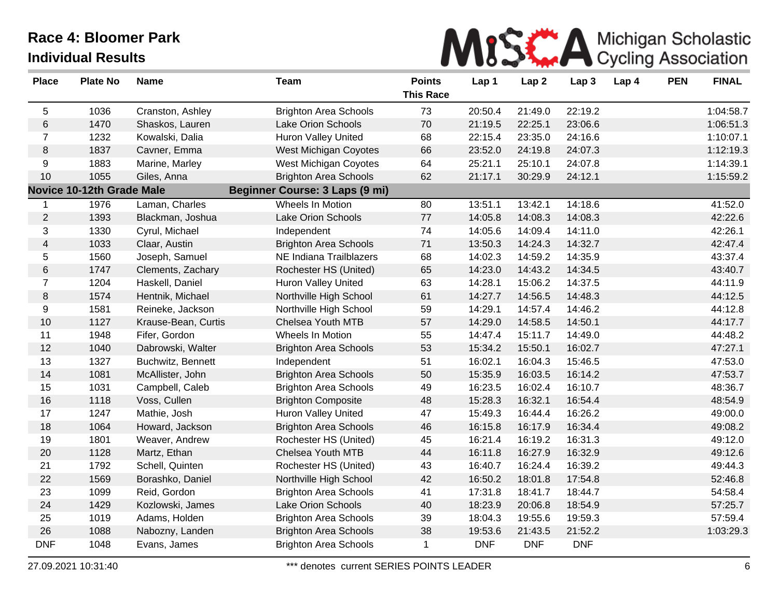

| <b>Place</b>   | <b>Plate No</b>                  | <b>Name</b>         | <b>Team</b>                    | <b>Points</b><br><b>This Race</b> | Lap 1      | Lap <sub>2</sub> | Lap <sub>3</sub> | Lap 4 | <b>PEN</b> | <b>FINAL</b> |
|----------------|----------------------------------|---------------------|--------------------------------|-----------------------------------|------------|------------------|------------------|-------|------------|--------------|
| 5              | 1036                             | Cranston, Ashley    | <b>Brighton Area Schools</b>   | 73                                | 20:50.4    | 21:49.0          | 22:19.2          |       |            | 1:04:58.7    |
| 6              | 1470                             | Shaskos, Lauren     | Lake Orion Schools             | 70                                | 21:19.5    | 22:25.1          | 23:06.6          |       |            | 1:06:51.3    |
| $\overline{7}$ | 1232                             | Kowalski, Dalia     | <b>Huron Valley United</b>     | 68                                | 22:15.4    | 23:35.0          | 24:16.6          |       |            | 1:10:07.1    |
| 8              | 1837                             | Cavner, Emma        | West Michigan Coyotes          | 66                                | 23:52.0    | 24:19.8          | 24:07.3          |       |            | 1:12:19.3    |
| 9              | 1883                             | Marine, Marley      | West Michigan Coyotes          | 64                                | 25:21.1    | 25:10.1          | 24:07.8          |       |            | 1:14:39.1    |
| 10             | 1055                             | Giles, Anna         | <b>Brighton Area Schools</b>   | 62                                | 21:17.1    | 30:29.9          | 24:12.1          |       |            | 1:15:59.2    |
|                | <b>Novice 10-12th Grade Male</b> |                     | Beginner Course: 3 Laps (9 mi) |                                   |            |                  |                  |       |            |              |
| 1              | 1976                             | Laman, Charles      | Wheels In Motion               | 80                                | 13:51.1    | 13:42.1          | 14:18.6          |       |            | 41:52.0      |
| $\overline{2}$ | 1393                             | Blackman, Joshua    | Lake Orion Schools             | $77 \,$                           | 14:05.8    | 14:08.3          | 14:08.3          |       |            | 42:22.6      |
| 3              | 1330                             | Cyrul, Michael      | Independent                    | 74                                | 14:05.6    | 14:09.4          | 14:11.0          |       |            | 42:26.1      |
| $\overline{4}$ | 1033                             | Claar, Austin       | <b>Brighton Area Schools</b>   | 71                                | 13:50.3    | 14:24.3          | 14:32.7          |       |            | 42:47.4      |
| 5              | 1560                             | Joseph, Samuel      | NE Indiana Trailblazers        | 68                                | 14:02.3    | 14:59.2          | 14:35.9          |       |            | 43:37.4      |
| $\,6\,$        | 1747                             | Clements, Zachary   | Rochester HS (United)          | 65                                | 14:23.0    | 14:43.2          | 14:34.5          |       |            | 43:40.7      |
| $\overline{7}$ | 1204                             | Haskell, Daniel     | <b>Huron Valley United</b>     | 63                                | 14:28.1    | 15:06.2          | 14:37.5          |       |            | 44:11.9      |
| 8              | 1574                             | Hentnik, Michael    | Northville High School         | 61                                | 14:27.7    | 14:56.5          | 14:48.3          |       |            | 44:12.5      |
| 9              | 1581                             | Reineke, Jackson    | Northville High School         | 59                                | 14:29.1    | 14:57.4          | 14:46.2          |       |            | 44:12.8      |
| 10             | 1127                             | Krause-Bean, Curtis | Chelsea Youth MTB              | 57                                | 14:29.0    | 14:58.5          | 14:50.1          |       |            | 44:17.7      |
| 11             | 1948                             | Fifer, Gordon       | Wheels In Motion               | 55                                | 14:47.4    | 15:11.7          | 14:49.0          |       |            | 44:48.2      |
| 12             | 1040                             | Dabrowski, Walter   | <b>Brighton Area Schools</b>   | 53                                | 15:34.2    | 15:50.1          | 16:02.7          |       |            | 47:27.1      |
| 13             | 1327                             | Buchwitz, Bennett   | Independent                    | 51                                | 16:02.1    | 16:04.3          | 15:46.5          |       |            | 47:53.0      |
| 14             | 1081                             | McAllister, John    | <b>Brighton Area Schools</b>   | 50                                | 15:35.9    | 16:03.5          | 16:14.2          |       |            | 47:53.7      |
| 15             | 1031                             | Campbell, Caleb     | <b>Brighton Area Schools</b>   | 49                                | 16:23.5    | 16:02.4          | 16:10.7          |       |            | 48:36.7      |
| 16             | 1118                             | Voss, Cullen        | <b>Brighton Composite</b>      | 48                                | 15:28.3    | 16:32.1          | 16:54.4          |       |            | 48:54.9      |
| 17             | 1247                             | Mathie, Josh        | Huron Valley United            | 47                                | 15:49.3    | 16:44.4          | 16:26.2          |       |            | 49:00.0      |
| 18             | 1064                             | Howard, Jackson     | <b>Brighton Area Schools</b>   | 46                                | 16:15.8    | 16:17.9          | 16:34.4          |       |            | 49:08.2      |
| 19             | 1801                             | Weaver, Andrew      | Rochester HS (United)          | 45                                | 16:21.4    | 16:19.2          | 16:31.3          |       |            | 49:12.0      |
| 20             | 1128                             | Martz, Ethan        | Chelsea Youth MTB              | 44                                | 16:11.8    | 16:27.9          | 16:32.9          |       |            | 49:12.6      |
| 21             | 1792                             | Schell, Quinten     | Rochester HS (United)          | 43                                | 16:40.7    | 16:24.4          | 16:39.2          |       |            | 49:44.3      |
| 22             | 1569                             | Borashko, Daniel    | Northville High School         | 42                                | 16:50.2    | 18:01.8          | 17:54.8          |       |            | 52:46.8      |
| 23             | 1099                             | Reid, Gordon        | <b>Brighton Area Schools</b>   | 41                                | 17:31.8    | 18:41.7          | 18:44.7          |       |            | 54:58.4      |
| 24             | 1429                             | Kozlowski, James    | Lake Orion Schools             | 40                                | 18:23.9    | 20:06.8          | 18:54.9          |       |            | 57:25.7      |
| 25             | 1019                             | Adams, Holden       | <b>Brighton Area Schools</b>   | 39                                | 18:04.3    | 19:55.6          | 19:59.3          |       |            | 57:59.4      |
| 26             | 1088                             | Nabozny, Landen     | <b>Brighton Area Schools</b>   | 38                                | 19:53.6    | 21:43.5          | 21:52.2          |       |            | 1:03:29.3    |
| <b>DNF</b>     | 1048                             | Evans, James        | <b>Brighton Area Schools</b>   | $\mathbf{1}$                      | <b>DNF</b> | <b>DNF</b>       | <b>DNF</b>       |       |            |              |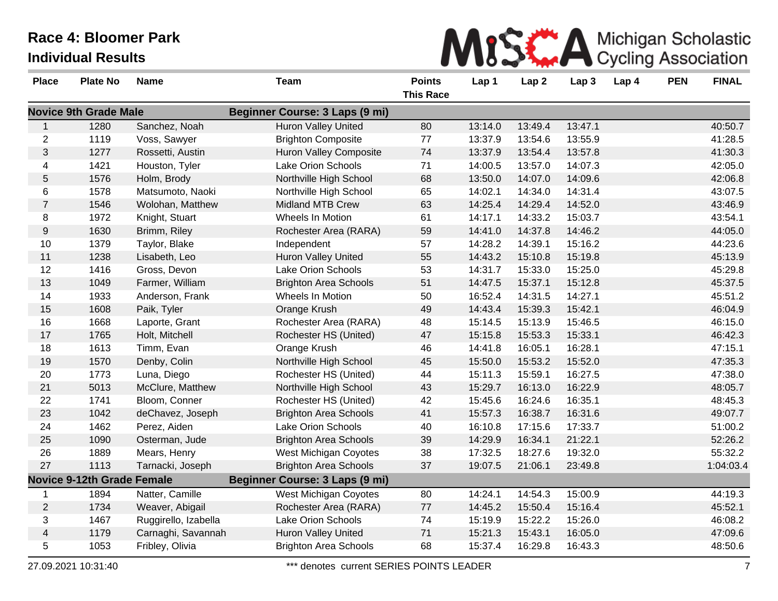

| <b>Place</b>            | <b>Plate No</b>                   | <b>Name</b>          | <b>Team</b>                    | <b>Points</b>    | Lap 1   | Lap <sub>2</sub> | Lap <sub>3</sub> | Lap 4 | <b>PEN</b> | <b>FINAL</b> |
|-------------------------|-----------------------------------|----------------------|--------------------------------|------------------|---------|------------------|------------------|-------|------------|--------------|
|                         |                                   |                      |                                | <b>This Race</b> |         |                  |                  |       |            |              |
|                         | <b>Novice 9th Grade Male</b>      |                      | Beginner Course: 3 Laps (9 mi) |                  |         |                  |                  |       |            |              |
| $\mathbf{1}$            | 1280                              | Sanchez, Noah        | <b>Huron Valley United</b>     | 80               | 13:14.0 | 13:49.4          | 13:47.1          |       |            | 40:50.7      |
| $\mathbf{2}$            | 1119                              | Voss, Sawyer         | <b>Brighton Composite</b>      | 77               | 13:37.9 | 13:54.6          | 13:55.9          |       |            | 41:28.5      |
| $\mathfrak{S}$          | 1277                              | Rossetti, Austin     | <b>Huron Valley Composite</b>  | 74               | 13:37.9 | 13:54.4          | 13:57.8          |       |            | 41:30.3      |
| 4                       | 1421                              | Houston, Tyler       | <b>Lake Orion Schools</b>      | 71               | 14:00.5 | 13:57.0          | 14:07.3          |       |            | 42:05.0      |
| 5                       | 1576                              | Holm, Brody          | Northville High School         | 68               | 13:50.0 | 14:07.0          | 14:09.6          |       |            | 42:06.8      |
| 6                       | 1578                              | Matsumoto, Naoki     | Northville High School         | 65               | 14:02.1 | 14:34.0          | 14:31.4          |       |            | 43:07.5      |
| $\overline{7}$          | 1546                              | Wolohan, Matthew     | <b>Midland MTB Crew</b>        | 63               | 14:25.4 | 14:29.4          | 14:52.0          |       |            | 43:46.9      |
| 8                       | 1972                              | Knight, Stuart       | Wheels In Motion               | 61               | 14:17.1 | 14:33.2          | 15:03.7          |       |            | 43:54.1      |
| 9                       | 1630                              | Brimm, Riley         | Rochester Area (RARA)          | 59               | 14:41.0 | 14:37.8          | 14:46.2          |       |            | 44:05.0      |
| 10                      | 1379                              | Taylor, Blake        | Independent                    | 57               | 14:28.2 | 14:39.1          | 15:16.2          |       |            | 44:23.6      |
| 11                      | 1238                              | Lisabeth, Leo        | Huron Valley United            | 55               | 14:43.2 | 15:10.8          | 15:19.8          |       |            | 45:13.9      |
| 12                      | 1416                              | Gross, Devon         | <b>Lake Orion Schools</b>      | 53               | 14:31.7 | 15:33.0          | 15:25.0          |       |            | 45:29.8      |
| 13                      | 1049                              | Farmer, William      | <b>Brighton Area Schools</b>   | 51               | 14:47.5 | 15:37.1          | 15:12.8          |       |            | 45:37.5      |
| 14                      | 1933                              | Anderson, Frank      | Wheels In Motion               | 50               | 16:52.4 | 14:31.5          | 14:27.1          |       |            | 45:51.2      |
| 15                      | 1608                              | Paik, Tyler          | Orange Krush                   | 49               | 14:43.4 | 15:39.3          | 15:42.1          |       |            | 46:04.9      |
| 16                      | 1668                              | Laporte, Grant       | Rochester Area (RARA)          | 48               | 15:14.5 | 15:13.9          | 15:46.5          |       |            | 46:15.0      |
| 17                      | 1765                              | Holt, Mitchell       | Rochester HS (United)          | 47               | 15:15.8 | 15:53.3          | 15:33.1          |       |            | 46:42.3      |
| 18                      | 1613                              | Timm, Evan           | Orange Krush                   | 46               | 14:41.8 | 16:05.1          | 16:28.1          |       |            | 47:15.1      |
| 19                      | 1570                              | Denby, Colin         | Northville High School         | 45               | 15:50.0 | 15:53.2          | 15:52.0          |       |            | 47:35.3      |
| 20                      | 1773                              | Luna, Diego          | Rochester HS (United)          | 44               | 15:11.3 | 15:59.1          | 16:27.5          |       |            | 47:38.0      |
| 21                      | 5013                              | McClure, Matthew     | Northville High School         | 43               | 15:29.7 | 16:13.0          | 16:22.9          |       |            | 48:05.7      |
| 22                      | 1741                              | Bloom, Conner        | Rochester HS (United)          | 42               | 15:45.6 | 16:24.6          | 16:35.1          |       |            | 48:45.3      |
| 23                      | 1042                              | deChavez, Joseph     | <b>Brighton Area Schools</b>   | 41               | 15:57.3 | 16:38.7          | 16:31.6          |       |            | 49:07.7      |
| 24                      | 1462                              | Perez, Aiden         | <b>Lake Orion Schools</b>      | 40               | 16:10.8 | 17:15.6          | 17:33.7          |       |            | 51:00.2      |
| 25                      | 1090                              | Osterman, Jude       | <b>Brighton Area Schools</b>   | 39               | 14:29.9 | 16:34.1          | 21:22.1          |       |            | 52:26.2      |
| 26                      | 1889                              | Mears, Henry         | West Michigan Coyotes          | 38               | 17:32.5 | 18:27.6          | 19:32.0          |       |            | 55:32.2      |
| 27                      | 1113                              | Tarnacki, Joseph     | <b>Brighton Area Schools</b>   | 37               | 19:07.5 | 21:06.1          | 23:49.8          |       |            | 1:04:03.4    |
|                         | <b>Novice 9-12th Grade Female</b> |                      | Beginner Course: 3 Laps (9 mi) |                  |         |                  |                  |       |            |              |
|                         | 1894                              | Natter, Camille      | West Michigan Coyotes          | 80               | 14:24.1 | 14:54.3          | 15:00.9          |       |            | 44:19.3      |
| $\mathbf{2}$            | 1734                              | Weaver, Abigail      | Rochester Area (RARA)          | 77               | 14:45.2 | 15:50.4          | 15:16.4          |       |            | 45:52.1      |
| 3                       | 1467                              | Ruggirello, Izabella | <b>Lake Orion Schools</b>      | 74               | 15:19.9 | 15:22.2          | 15:26.0          |       |            | 46:08.2      |
| $\overline{\mathbf{4}}$ | 1179                              | Carnaghi, Savannah   | Huron Valley United            | 71               | 15:21.3 | 15:43.1          | 16:05.0          |       |            | 47:09.6      |
| 5                       | 1053                              | Fribley, Olivia      | <b>Brighton Area Schools</b>   | 68               | 15:37.4 | 16:29.8          | 16:43.3          |       |            | 48:50.6      |

27.09.2021 10:31:40 \*\*\* denotes current SERIES POINTS LEADER 7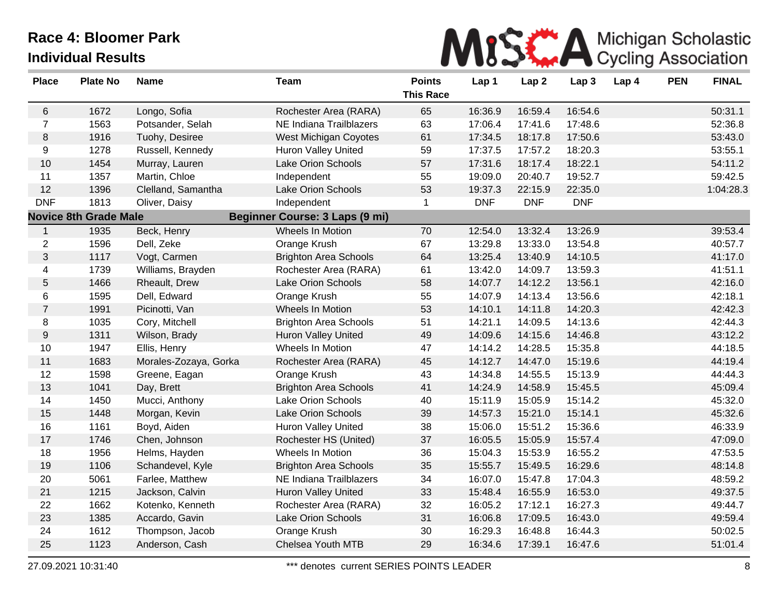

| <b>Place</b>     | <b>Plate No</b>              | <b>Name</b>           | <b>Team</b>                    | <b>Points</b><br><b>This Race</b> | Lap 1      | Lap <sub>2</sub> | Lap <sub>3</sub> | Lap 4 | <b>PEN</b> | <b>FINAL</b> |
|------------------|------------------------------|-----------------------|--------------------------------|-----------------------------------|------------|------------------|------------------|-------|------------|--------------|
| 6                | 1672                         | Longo, Sofia          | Rochester Area (RARA)          | 65                                | 16:36.9    | 16:59.4          | 16:54.6          |       |            | 50:31.1      |
| $\overline{7}$   | 1563                         | Potsander, Selah      | NE Indiana Trailblazers        | 63                                | 17:06.4    | 17:41.6          | 17:48.6          |       |            | 52:36.8      |
| 8                | 1916                         | Tuohy, Desiree        | <b>West Michigan Coyotes</b>   | 61                                | 17:34.5    | 18:17.8          | 17:50.6          |       |            | 53:43.0      |
| 9                | 1278                         | Russell, Kennedy      | Huron Valley United            | 59                                | 17:37.5    | 17:57.2          | 18:20.3          |       |            | 53:55.1      |
| 10               | 1454                         | Murray, Lauren        | Lake Orion Schools             | 57                                | 17:31.6    | 18:17.4          | 18:22.1          |       |            | 54:11.2      |
| 11               | 1357                         | Martin, Chloe         | Independent                    | 55                                | 19:09.0    | 20:40.7          | 19:52.7          |       |            | 59:42.5      |
| 12               | 1396                         | Clelland, Samantha    | Lake Orion Schools             | 53                                | 19:37.3    | 22:15.9          | 22:35.0          |       |            | 1:04:28.3    |
| <b>DNF</b>       | 1813                         | Oliver, Daisy         | Independent                    | $\mathbf{1}$                      | <b>DNF</b> | <b>DNF</b>       | <b>DNF</b>       |       |            |              |
|                  | <b>Novice 8th Grade Male</b> |                       | Beginner Course: 3 Laps (9 mi) |                                   |            |                  |                  |       |            |              |
| $\mathbf{1}$     | 1935                         | Beck, Henry           | Wheels In Motion               | 70                                | 12:54.0    | 13:32.4          | 13:26.9          |       |            | 39:53.4      |
| $\overline{2}$   | 1596                         | Dell, Zeke            | Orange Krush                   | 67                                | 13:29.8    | 13:33.0          | 13:54.8          |       |            | 40:57.7      |
| 3                | 1117                         | Vogt, Carmen          | <b>Brighton Area Schools</b>   | 64                                | 13:25.4    | 13:40.9          | 14:10.5          |       |            | 41:17.0      |
| 4                | 1739                         | Williams, Brayden     | Rochester Area (RARA)          | 61                                | 13:42.0    | 14:09.7          | 13:59.3          |       |            | 41:51.1      |
| $\sqrt{5}$       | 1466                         | Rheault, Drew         | Lake Orion Schools             | 58                                | 14:07.7    | 14:12.2          | 13:56.1          |       |            | 42:16.0      |
| 6                | 1595                         | Dell, Edward          | Orange Krush                   | 55                                | 14:07.9    | 14:13.4          | 13:56.6          |       |            | 42:18.1      |
| $\overline{7}$   | 1991                         | Picinotti, Van        | Wheels In Motion               | 53                                | 14:10.1    | 14:11.8          | 14:20.3          |       |            | 42:42.3      |
| 8                | 1035                         | Cory, Mitchell        | <b>Brighton Area Schools</b>   | 51                                | 14:21.1    | 14:09.5          | 14:13.6          |       |            | 42:44.3      |
| $\boldsymbol{9}$ | 1311                         | Wilson, Brady         | <b>Huron Valley United</b>     | 49                                | 14:09.6    | 14:15.6          | 14:46.8          |       |            | 43:12.2      |
| 10               | 1947                         | Ellis, Henry          | Wheels In Motion               | 47                                | 14:14.2    | 14:28.5          | 15:35.8          |       |            | 44:18.5      |
| 11               | 1683                         | Morales-Zozaya, Gorka | Rochester Area (RARA)          | 45                                | 14:12.7    | 14:47.0          | 15:19.6          |       |            | 44:19.4      |
| 12               | 1598                         | Greene, Eagan         | Orange Krush                   | 43                                | 14:34.8    | 14:55.5          | 15:13.9          |       |            | 44:44.3      |
| 13               | 1041                         | Day, Brett            | <b>Brighton Area Schools</b>   | 41                                | 14:24.9    | 14:58.9          | 15:45.5          |       |            | 45:09.4      |
| 14               | 1450                         | Mucci, Anthony        | Lake Orion Schools             | 40                                | 15:11.9    | 15:05.9          | 15:14.2          |       |            | 45:32.0      |
| 15               | 1448                         | Morgan, Kevin         | Lake Orion Schools             | 39                                | 14:57.3    | 15:21.0          | 15:14.1          |       |            | 45:32.6      |
| 16               | 1161                         | Boyd, Aiden           | <b>Huron Valley United</b>     | 38                                | 15:06.0    | 15:51.2          | 15:36.6          |       |            | 46:33.9      |
| 17               | 1746                         | Chen, Johnson         | Rochester HS (United)          | 37                                | 16:05.5    | 15:05.9          | 15:57.4          |       |            | 47:09.0      |
| 18               | 1956                         | Helms, Hayden         | Wheels In Motion               | 36                                | 15:04.3    | 15:53.9          | 16:55.2          |       |            | 47:53.5      |
| 19               | 1106                         | Schandevel, Kyle      | <b>Brighton Area Schools</b>   | 35                                | 15:55.7    | 15:49.5          | 16:29.6          |       |            | 48:14.8      |
| 20               | 5061                         | Farlee, Matthew       | NE Indiana Trailblazers        | 34                                | 16:07.0    | 15:47.8          | 17:04.3          |       |            | 48:59.2      |
| 21               | 1215                         | Jackson, Calvin       | <b>Huron Valley United</b>     | 33                                | 15:48.4    | 16:55.9          | 16:53.0          |       |            | 49:37.5      |
| 22               | 1662                         | Kotenko, Kenneth      | Rochester Area (RARA)          | 32                                | 16:05.2    | 17:12.1          | 16:27.3          |       |            | 49:44.7      |
| 23               | 1385                         | Accardo, Gavin        | Lake Orion Schools             | 31                                | 16:06.8    | 17:09.5          | 16:43.0          |       |            | 49:59.4      |
| 24               | 1612                         | Thompson, Jacob       | Orange Krush                   | 30                                | 16:29.3    | 16:48.8          | 16:44.3          |       |            | 50:02.5      |
| 25               | 1123                         | Anderson, Cash        | Chelsea Youth MTB              | 29                                | 16:34.6    | 17:39.1          | 16:47.6          |       |            | 51:01.4      |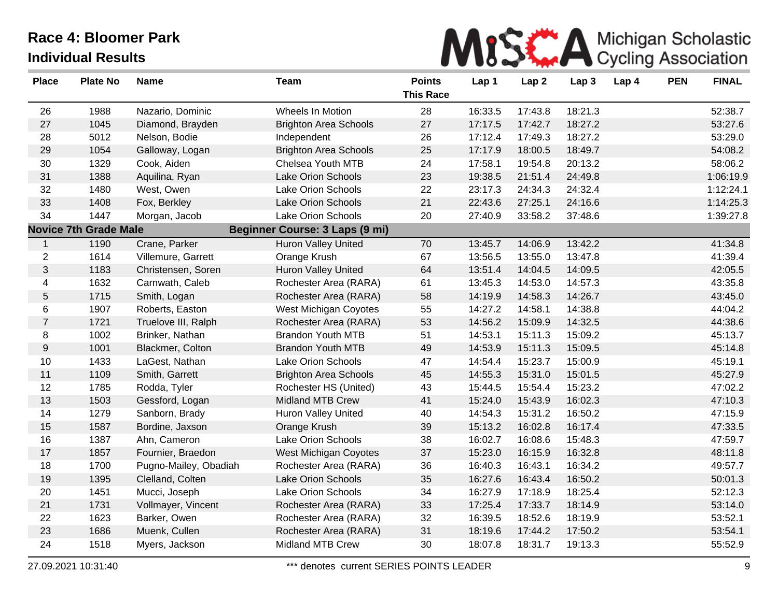

| <b>Place</b>     | <b>Plate No</b>              | <b>Name</b>           | <b>Team</b>                           | <b>Points</b><br><b>This Race</b> | Lap 1   | Lap <sub>2</sub> | Lap <sub>3</sub> | Lap 4 | <b>PEN</b> | <b>FINAL</b> |
|------------------|------------------------------|-----------------------|---------------------------------------|-----------------------------------|---------|------------------|------------------|-------|------------|--------------|
| 26               | 1988                         | Nazario, Dominic      | Wheels In Motion                      | 28                                | 16:33.5 | 17:43.8          | 18:21.3          |       |            | 52:38.7      |
| 27               | 1045                         | Diamond, Brayden      | <b>Brighton Area Schools</b>          | 27                                | 17:17.5 | 17:42.7          | 18:27.2          |       |            | 53:27.6      |
| 28               | 5012                         | Nelson, Bodie         | Independent                           | 26                                | 17:12.4 | 17:49.3          | 18:27.2          |       |            | 53:29.0      |
| 29               | 1054                         | Galloway, Logan       | <b>Brighton Area Schools</b>          | 25                                | 17:17.9 | 18:00.5          | 18:49.7          |       |            | 54:08.2      |
| 30               | 1329                         | Cook, Aiden           | Chelsea Youth MTB                     | 24                                | 17:58.1 | 19:54.8          | 20:13.2          |       |            | 58:06.2      |
| 31               | 1388                         | Aquilina, Ryan        | <b>Lake Orion Schools</b>             | 23                                | 19:38.5 | 21:51.4          | 24:49.8          |       |            | 1:06:19.9    |
| 32               | 1480                         | West, Owen            | Lake Orion Schools                    | 22                                | 23:17.3 | 24:34.3          | 24:32.4          |       |            | 1:12:24.1    |
| 33               | 1408                         | Fox, Berkley          | <b>Lake Orion Schools</b>             | 21                                | 22:43.6 | 27:25.1          | 24:16.6          |       |            | 1:14:25.3    |
| 34               | 1447                         | Morgan, Jacob         | Lake Orion Schools                    | 20                                | 27:40.9 | 33:58.2          | 37:48.6          |       |            | 1:39:27.8    |
|                  | <b>Novice 7th Grade Male</b> |                       | <b>Beginner Course: 3 Laps (9 mi)</b> |                                   |         |                  |                  |       |            |              |
| $\mathbf{1}$     | 1190                         | Crane, Parker         | <b>Huron Valley United</b>            | 70                                | 13:45.7 | 14:06.9          | 13:42.2          |       |            | 41:34.8      |
| $\mathbf{2}$     | 1614                         | Villemure, Garrett    | Orange Krush                          | 67                                | 13:56.5 | 13:55.0          | 13:47.8          |       |            | 41:39.4      |
| $\mathfrak{B}$   | 1183                         | Christensen, Soren    | <b>Huron Valley United</b>            | 64                                | 13:51.4 | 14:04.5          | 14:09.5          |       |            | 42:05.5      |
| 4                | 1632                         | Carnwath, Caleb       | Rochester Area (RARA)                 | 61                                | 13:45.3 | 14:53.0          | 14:57.3          |       |            | 43:35.8      |
| $5\,$            | 1715                         | Smith, Logan          | Rochester Area (RARA)                 | 58                                | 14:19.9 | 14:58.3          | 14:26.7          |       |            | 43:45.0      |
| $\,6$            | 1907                         | Roberts, Easton       | West Michigan Coyotes                 | 55                                | 14:27.2 | 14:58.1          | 14:38.8          |       |            | 44:04.2      |
| $\overline{7}$   | 1721                         | Truelove III, Ralph   | Rochester Area (RARA)                 | 53                                | 14:56.2 | 15:09.9          | 14:32.5          |       |            | 44:38.6      |
| $\bf 8$          | 1002                         | Brinker, Nathan       | <b>Brandon Youth MTB</b>              | 51                                | 14:53.1 | 15:11.3          | 15:09.2          |       |            | 45:13.7      |
| $\boldsymbol{9}$ | 1001                         | Blackmer, Colton      | <b>Brandon Youth MTB</b>              | 49                                | 14:53.9 | 15:11.3          | 15:09.5          |       |            | 45:14.8      |
| 10               | 1433                         | LaGest, Nathan        | Lake Orion Schools                    | 47                                | 14:54.4 | 15:23.7          | 15:00.9          |       |            | 45:19.1      |
| 11               | 1109                         | Smith, Garrett        | <b>Brighton Area Schools</b>          | 45                                | 14:55.3 | 15:31.0          | 15:01.5          |       |            | 45:27.9      |
| 12               | 1785                         | Rodda, Tyler          | Rochester HS (United)                 | 43                                | 15:44.5 | 15:54.4          | 15:23.2          |       |            | 47:02.2      |
| 13               | 1503                         | Gessford, Logan       | <b>Midland MTB Crew</b>               | 41                                | 15:24.0 | 15:43.9          | 16:02.3          |       |            | 47:10.3      |
| 14               | 1279                         | Sanborn, Brady        | Huron Valley United                   | 40                                | 14:54.3 | 15:31.2          | 16:50.2          |       |            | 47:15.9      |
| 15               | 1587                         | Bordine, Jaxson       | Orange Krush                          | 39                                | 15:13.2 | 16:02.8          | 16:17.4          |       |            | 47:33.5      |
| 16               | 1387                         | Ahn, Cameron          | Lake Orion Schools                    | 38                                | 16:02.7 | 16:08.6          | 15:48.3          |       |            | 47:59.7      |
| 17               | 1857                         | Fournier, Braedon     | <b>West Michigan Coyotes</b>          | 37                                | 15:23.0 | 16:15.9          | 16:32.8          |       |            | 48:11.8      |
| 18               | 1700                         | Pugno-Mailey, Obadiah | Rochester Area (RARA)                 | 36                                | 16:40.3 | 16:43.1          | 16:34.2          |       |            | 49:57.7      |
| 19               | 1395                         | Clelland, Colten      | <b>Lake Orion Schools</b>             | 35                                | 16:27.6 | 16:43.4          | 16:50.2          |       |            | 50:01.3      |
| 20               | 1451                         | Mucci, Joseph         | Lake Orion Schools                    | 34                                | 16:27.9 | 17:18.9          | 18:25.4          |       |            | 52:12.3      |
| 21               | 1731                         | Vollmayer, Vincent    | Rochester Area (RARA)                 | 33                                | 17:25.4 | 17:33.7          | 18:14.9          |       |            | 53:14.0      |
| 22               | 1623                         | Barker, Owen          | Rochester Area (RARA)                 | 32                                | 16:39.5 | 18:52.6          | 18:19.9          |       |            | 53:52.1      |
| 23               | 1686                         | Muenk, Cullen         | Rochester Area (RARA)                 | 31                                | 18:19.6 | 17:44.2          | 17:50.2          |       |            | 53:54.1      |
| 24               | 1518                         | Myers, Jackson        | <b>Midland MTB Crew</b>               | 30                                | 18:07.8 | 18:31.7          | 19:13.3          |       |            | 55:52.9      |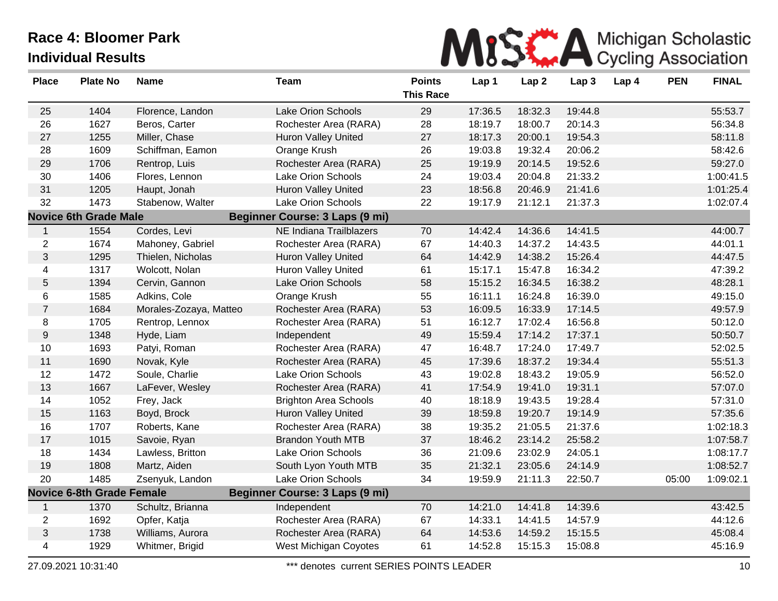

| <b>Place</b>   | <b>Plate No</b>                  | <b>Name</b>            | <b>Team</b>                           | <b>Points</b><br><b>This Race</b> | Lap 1   | Lap2    | Lap <sub>3</sub> | Lap 4 | <b>PEN</b> | <b>FINAL</b> |
|----------------|----------------------------------|------------------------|---------------------------------------|-----------------------------------|---------|---------|------------------|-------|------------|--------------|
| 25             | 1404                             | Florence, Landon       | <b>Lake Orion Schools</b>             | 29                                | 17:36.5 | 18:32.3 | 19:44.8          |       |            | 55:53.7      |
| 26             | 1627                             | Beros, Carter          | Rochester Area (RARA)                 | 28                                | 18:19.7 | 18:00.7 | 20:14.3          |       |            | 56:34.8      |
| 27             | 1255                             | Miller, Chase          | Huron Valley United                   | 27                                | 18:17.3 | 20:00.1 | 19:54.3          |       |            | 58:11.8      |
| 28             | 1609                             | Schiffman, Eamon       | Orange Krush                          | 26                                | 19:03.8 | 19:32.4 | 20:06.2          |       |            | 58:42.6      |
| 29             | 1706                             | Rentrop, Luis          | Rochester Area (RARA)                 | 25                                | 19:19.9 | 20:14.5 | 19:52.6          |       |            | 59:27.0      |
| 30             | 1406                             | Flores, Lennon         | <b>Lake Orion Schools</b>             | 24                                | 19:03.4 | 20:04.8 | 21:33.2          |       |            | 1:00:41.5    |
| 31             | 1205                             | Haupt, Jonah           | <b>Huron Valley United</b>            | 23                                | 18:56.8 | 20:46.9 | 21:41.6          |       |            | 1:01:25.4    |
| 32             | 1473                             | Stabenow, Walter       | Lake Orion Schools                    | 22                                | 19:17.9 | 21:12.1 | 21:37.3          |       |            | 1:02:07.4    |
|                | <b>Novice 6th Grade Male</b>     |                        | <b>Beginner Course: 3 Laps (9 mi)</b> |                                   |         |         |                  |       |            |              |
| $\mathbf{1}$   | 1554                             | Cordes, Levi           | NE Indiana Trailblazers               | 70                                | 14:42.4 | 14:36.6 | 14:41.5          |       |            | 44:00.7      |
| $\overline{2}$ | 1674                             | Mahoney, Gabriel       | Rochester Area (RARA)                 | 67                                | 14:40.3 | 14:37.2 | 14:43.5          |       |            | 44:01.1      |
| $\mathfrak{S}$ | 1295                             | Thielen, Nicholas      | <b>Huron Valley United</b>            | 64                                | 14:42.9 | 14:38.2 | 15:26.4          |       |            | 44:47.5      |
| 4              | 1317                             | Wolcott, Nolan         | <b>Huron Valley United</b>            | 61                                | 15:17.1 | 15:47.8 | 16:34.2          |       |            | 47:39.2      |
| 5              | 1394                             | Cervin, Gannon         | <b>Lake Orion Schools</b>             | 58                                | 15:15.2 | 16:34.5 | 16:38.2          |       |            | 48:28.1      |
| 6              | 1585                             | Adkins, Cole           | Orange Krush                          | 55                                | 16:11.1 | 16:24.8 | 16:39.0          |       |            | 49:15.0      |
| $\overline{7}$ | 1684                             | Morales-Zozaya, Matteo | Rochester Area (RARA)                 | 53                                | 16:09.5 | 16:33.9 | 17:14.5          |       |            | 49:57.9      |
| 8              | 1705                             | Rentrop, Lennox        | Rochester Area (RARA)                 | 51                                | 16:12.7 | 17:02.4 | 16:56.8          |       |            | 50:12.0      |
| 9              | 1348                             | Hyde, Liam             | Independent                           | 49                                | 15:59.4 | 17:14.2 | 17:37.1          |       |            | 50:50.7      |
| $10$           | 1693                             | Patyi, Roman           | Rochester Area (RARA)                 | 47                                | 16:48.7 | 17:24.0 | 17:49.7          |       |            | 52:02.5      |
| 11             | 1690                             | Novak, Kyle            | Rochester Area (RARA)                 | 45                                | 17:39.6 | 18:37.2 | 19:34.4          |       |            | 55:51.3      |
| 12             | 1472                             | Soule, Charlie         | Lake Orion Schools                    | 43                                | 19:02.8 | 18:43.2 | 19:05.9          |       |            | 56:52.0      |
| 13             | 1667                             | LaFever, Wesley        | Rochester Area (RARA)                 | 41                                | 17:54.9 | 19:41.0 | 19:31.1          |       |            | 57:07.0      |
| 14             | 1052                             | Frey, Jack             | <b>Brighton Area Schools</b>          | 40                                | 18:18.9 | 19:43.5 | 19:28.4          |       |            | 57:31.0      |
| 15             | 1163                             | Boyd, Brock            | <b>Huron Valley United</b>            | 39                                | 18:59.8 | 19:20.7 | 19:14.9          |       |            | 57:35.6      |
| 16             | 1707                             | Roberts, Kane          | Rochester Area (RARA)                 | 38                                | 19:35.2 | 21:05.5 | 21:37.6          |       |            | 1:02:18.3    |
| 17             | 1015                             | Savoie, Ryan           | <b>Brandon Youth MTB</b>              | 37                                | 18:46.2 | 23:14.2 | 25:58.2          |       |            | 1:07:58.7    |
| 18             | 1434                             | Lawless, Britton       | <b>Lake Orion Schools</b>             | 36                                | 21:09.6 | 23:02.9 | 24:05.1          |       |            | 1:08:17.7    |
| 19             | 1808                             | Martz, Aiden           | South Lyon Youth MTB                  | 35                                | 21:32.1 | 23:05.6 | 24:14.9          |       |            | 1:08:52.7    |
| 20             | 1485                             | Zsenyuk, Landon        | <b>Lake Orion Schools</b>             | 34                                | 19:59.9 | 21:11.3 | 22:50.7          |       | 05:00      | 1:09:02.1    |
|                | <b>Novice 6-8th Grade Female</b> |                        | Beginner Course: 3 Laps (9 mi)        |                                   |         |         |                  |       |            |              |
| $\mathbf{1}$   | 1370                             | Schultz, Brianna       | Independent                           | 70                                | 14:21.0 | 14:41.8 | 14:39.6          |       |            | 43:42.5      |
| $\overline{2}$ | 1692                             | Opfer, Katja           | Rochester Area (RARA)                 | 67                                | 14:33.1 | 14:41.5 | 14:57.9          |       |            | 44:12.6      |
| $\mathfrak{S}$ | 1738                             | Williams, Aurora       | Rochester Area (RARA)                 | 64                                | 14:53.6 | 14:59.2 | 15:15.5          |       |            | 45:08.4      |
| 4              | 1929                             | Whitmer, Brigid        | West Michigan Coyotes                 | 61                                | 14:52.8 | 15:15.3 | 15:08.8          |       |            | 45:16.9      |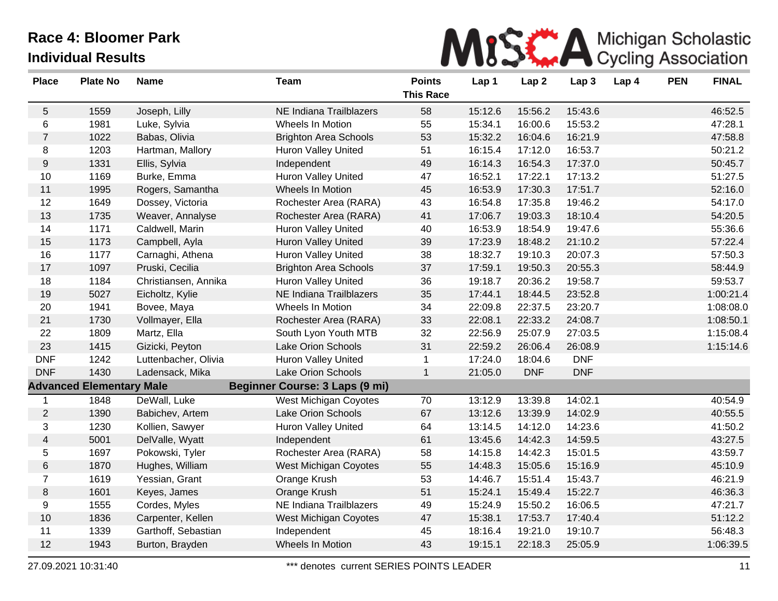

| <b>Plate No</b> | <b>Name</b>          | <b>Team</b>                     | <b>Points</b><br><b>This Race</b>     | Lap 1   | Lap <sub>2</sub> | Lap <sub>3</sub> | Lap 4              | <b>PEN</b> | <b>FINAL</b> |
|-----------------|----------------------|---------------------------------|---------------------------------------|---------|------------------|------------------|--------------------|------------|--------------|
| 1559            | Joseph, Lilly        | NE Indiana Trailblazers         | 58                                    | 15:12.6 | 15:56.2          | 15:43.6          |                    |            | 46:52.5      |
| 1981            | Luke, Sylvia         | Wheels In Motion                | 55                                    | 15:34.1 | 16:00.6          | 15:53.2          |                    |            | 47:28.1      |
| 1022            | Babas, Olivia        | <b>Brighton Area Schools</b>    | 53                                    | 15:32.2 | 16:04.6          | 16:21.9          |                    |            | 47:58.8      |
| 1203            | Hartman, Mallory     | Huron Valley United             | 51                                    | 16:15.4 | 17:12.0          | 16:53.7          |                    |            | 50:21.2      |
| 1331            | Ellis, Sylvia        | Independent                     | 49                                    | 16:14.3 | 16:54.3          | 17:37.0          |                    |            | 50:45.7      |
| 1169            | Burke, Emma          | Huron Valley United             | 47                                    | 16:52.1 | 17:22.1          | 17:13.2          |                    |            | 51:27.5      |
| 1995            | Rogers, Samantha     | <b>Wheels In Motion</b>         | 45                                    | 16:53.9 | 17:30.3          | 17:51.7          |                    |            | 52:16.0      |
| 1649            | Dossey, Victoria     | Rochester Area (RARA)           | 43                                    | 16:54.8 | 17:35.8          | 19:46.2          |                    |            | 54:17.0      |
| 1735            | Weaver, Annalyse     | Rochester Area (RARA)           | 41                                    | 17:06.7 | 19:03.3          | 18:10.4          |                    |            | 54:20.5      |
| 1171            | Caldwell, Marin      | <b>Huron Valley United</b>      | 40                                    | 16:53.9 | 18:54.9          | 19:47.6          |                    |            | 55:36.6      |
| 1173            | Campbell, Ayla       | <b>Huron Valley United</b>      | 39                                    | 17:23.9 | 18:48.2          |                  |                    |            | 57:22.4      |
| 1177            | Carnaghi, Athena     | Huron Valley United             | 38                                    | 18:32.7 | 19:10.3          | 20:07.3          |                    |            | 57:50.3      |
| 1097            | Pruski, Cecilia      | <b>Brighton Area Schools</b>    | 37                                    | 17:59.1 | 19:50.3          | 20:55.3          |                    |            | 58:44.9      |
| 1184            | Christiansen, Annika | <b>Huron Valley United</b>      | 36                                    | 19:18.7 | 20:36.2          | 19:58.7          |                    |            | 59:53.7      |
| 5027            | Eicholtz, Kylie      | NE Indiana Trailblazers         | 35                                    | 17:44.1 | 18:44.5          | 23:52.8          |                    |            | 1:00:21.4    |
| 1941            | Bovee, Maya          | Wheels In Motion                | 34                                    | 22:09.8 | 22:37.5          | 23:20.7          |                    |            | 1:08:08.0    |
| 1730            | Vollmayer, Ella      | Rochester Area (RARA)           | 33                                    | 22:08.1 | 22:33.2          | 24:08.7          |                    |            | 1:08:50.1    |
| 1809            | Martz, Ella          | South Lyon Youth MTB            | 32                                    | 22:56.9 | 25:07.9          | 27:03.5          |                    |            | 1:15:08.4    |
| 1415            | Gizicki, Peyton      | Lake Orion Schools              | 31                                    | 22:59.2 | 26:06.4          | 26:08.9          |                    |            | 1:15:14.6    |
| 1242            | Luttenbacher, Olivia | <b>Huron Valley United</b>      | $\mathbf{1}$                          | 17:24.0 | 18:04.6          | <b>DNF</b>       |                    |            |              |
| 1430            | Ladensack, Mika      | Lake Orion Schools              | $\mathbf{1}$                          | 21:05.0 | <b>DNF</b>       | <b>DNF</b>       |                    |            |              |
|                 |                      |                                 |                                       |         |                  |                  |                    |            |              |
| 1848            | DeWall, Luke         | <b>West Michigan Coyotes</b>    | 70                                    | 13:12.9 | 13:39.8          | 14:02.1          |                    |            | 40:54.9      |
| 1390            | Babichev, Artem      | <b>Lake Orion Schools</b>       | 67                                    | 13:12.6 | 13:39.9          | 14:02.9          |                    |            | 40:55.5      |
| 1230            | Kollien, Sawyer      | <b>Huron Valley United</b>      | 64                                    | 13:14.5 | 14:12.0          | 14:23.6          |                    |            | 41:50.2      |
| 5001            | DelValle, Wyatt      | Independent                     | 61                                    | 13:45.6 | 14:42.3          | 14:59.5          |                    |            | 43:27.5      |
| 1697            | Pokowski, Tyler      | Rochester Area (RARA)           | 58                                    | 14:15.8 | 14:42.3          | 15:01.5          |                    |            | 43:59.7      |
| 1870            | Hughes, William      | West Michigan Coyotes           | 55                                    | 14:48.3 | 15:05.6          | 15:16.9          |                    |            | 45:10.9      |
| 1619            | Yessian, Grant       | Orange Krush                    | 53                                    | 14:46.7 | 15:51.4          | 15:43.7          |                    |            | 46:21.9      |
|                 | Keyes, James         | Orange Krush                    |                                       | 15:24.1 | 15:49.4          |                  |                    |            | 46:36.3      |
| 1555            | Cordes, Myles        | NE Indiana Trailblazers         | 49                                    | 15:24.9 | 15:50.2          | 16:06.5          |                    |            | 47:21.7      |
| 1836            | Carpenter, Kellen    | West Michigan Coyotes           | 47                                    | 15:38.1 | 17:53.7          | 17:40.4          |                    |            | 51:12.2      |
| 1339            | Garthoff, Sebastian  | Independent                     | 45                                    | 18:16.4 | 19:21.0          | 19:10.7          |                    |            | 56:48.3      |
| 1943            | Burton, Brayden      | Wheels In Motion                | 43                                    | 19:15.1 | 22:18.3          | 25:05.9          |                    |            | 1:06:39.5    |
|                 | 1601                 | <b>Advanced Elementary Male</b> | <b>Beginner Course: 3 Laps (9 mi)</b> | 51      |                  |                  | 21:10.2<br>15:22.7 |            |              |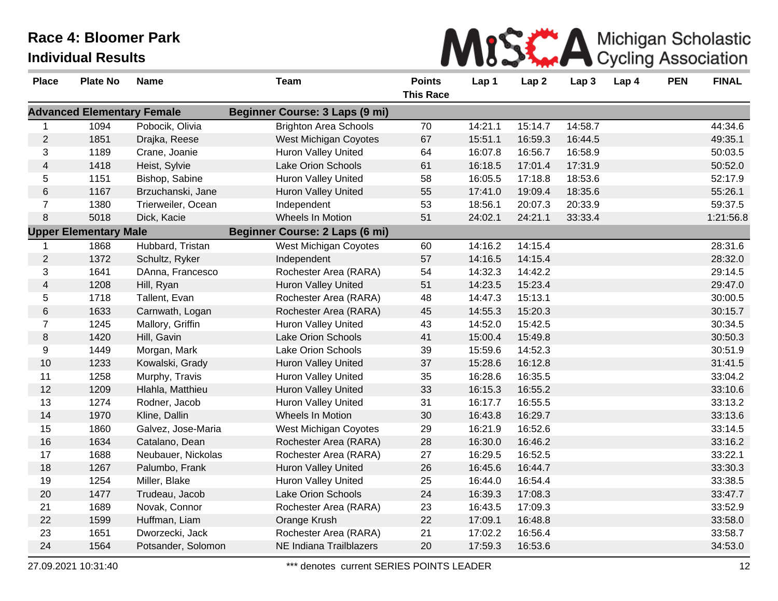

| <b>Place</b>   | <b>Plate No</b>                   | <b>Name</b>        | <b>Team</b>                    | <b>Points</b><br><b>This Race</b> | Lap 1   | Lap <sub>2</sub> | Lap <sub>3</sub> | Lap 4 | <b>PEN</b> | <b>FINAL</b> |
|----------------|-----------------------------------|--------------------|--------------------------------|-----------------------------------|---------|------------------|------------------|-------|------------|--------------|
|                | <b>Advanced Elementary Female</b> |                    | Beginner Course: 3 Laps (9 mi) |                                   |         |                  |                  |       |            |              |
| $\mathbf{1}$   | 1094                              | Pobocik, Olivia    | <b>Brighton Area Schools</b>   | 70                                | 14:21.1 | 15:14.7          | 14:58.7          |       |            | 44:34.6      |
| $\overline{c}$ | 1851                              | Drajka, Reese      | West Michigan Coyotes          | 67                                | 15:51.1 | 16:59.3          | 16:44.5          |       |            | 49:35.1      |
| 3              | 1189                              | Crane, Joanie      | Huron Valley United            | 64                                | 16:07.8 | 16:56.7          | 16:58.9          |       |            | 50:03.5      |
| $\overline{4}$ | 1418                              | Heist, Sylvie      | Lake Orion Schools             | 61                                | 16:18.5 | 17:01.4          | 17:31.9          |       |            | 50:52.0      |
| 5              | 1151                              | Bishop, Sabine     | Huron Valley United            | 58                                | 16:05.5 | 17:18.8          | 18:53.6          |       |            | 52:17.9      |
| 6              | 1167                              | Brzuchanski, Jane  | <b>Huron Valley United</b>     | 55                                | 17:41.0 | 19:09.4          | 18:35.6          |       |            | 55:26.1      |
| $\overline{7}$ | 1380                              | Trierweiler, Ocean | Independent                    | 53                                | 18:56.1 | 20:07.3          | 20:33.9          |       |            | 59:37.5      |
| 8              | 5018                              | Dick, Kacie        | Wheels In Motion               | 51                                | 24:02.1 | 24:21.1          | 33:33.4          |       |            | 1:21:56.8    |
|                | <b>Upper Elementary Male</b>      |                    | Beginner Course: 2 Laps (6 mi) |                                   |         |                  |                  |       |            |              |
|                | 1868                              | Hubbard, Tristan   | West Michigan Coyotes          | 60                                | 14:16.2 | 14:15.4          |                  |       |            | 28:31.6      |
| $\overline{2}$ | 1372                              | Schultz, Ryker     | Independent                    | 57                                | 14:16.5 | 14:15.4          |                  |       |            | 28:32.0      |
| 3              | 1641                              | DAnna, Francesco   | Rochester Area (RARA)          | 54                                | 14:32.3 | 14:42.2          |                  |       |            | 29:14.5      |
| 4              | 1208                              | Hill, Ryan         | <b>Huron Valley United</b>     | 51                                | 14:23.5 | 15:23.4          |                  |       |            | 29:47.0      |
| 5              | 1718                              | Tallent, Evan      | Rochester Area (RARA)          | 48                                | 14:47.3 | 15:13.1          |                  |       |            | 30:00.5      |
| 6              | 1633                              | Carnwath, Logan    | Rochester Area (RARA)          | 45                                | 14:55.3 | 15:20.3          |                  |       |            | 30:15.7      |
| $\overline{7}$ | 1245                              | Mallory, Griffin   | <b>Huron Valley United</b>     | 43                                | 14:52.0 | 15:42.5          |                  |       |            | 30:34.5      |
| 8              | 1420                              | Hill, Gavin        | Lake Orion Schools             | 41                                | 15:00.4 | 15:49.8          |                  |       |            | 30:50.3      |
| 9              | 1449                              | Morgan, Mark       | Lake Orion Schools             | 39                                | 15:59.6 | 14:52.3          |                  |       |            | 30:51.9      |
| 10             | 1233                              | Kowalski, Grady    | Huron Valley United            | 37                                | 15:28.6 | 16:12.8          |                  |       |            | 31:41.5      |
| 11             | 1258                              | Murphy, Travis     | Huron Valley United            | 35                                | 16:28.6 | 16:35.5          |                  |       |            | 33:04.2      |
| 12             | 1209                              | Hlahla, Matthieu   | <b>Huron Valley United</b>     | 33                                | 16:15.3 | 16:55.2          |                  |       |            | 33:10.6      |
| 13             | 1274                              | Rodner, Jacob      | Huron Valley United            | 31                                | 16:17.7 | 16:55.5          |                  |       |            | 33:13.2      |
| 14             | 1970                              | Kline, Dallin      | Wheels In Motion               | 30                                | 16:43.8 | 16:29.7          |                  |       |            | 33:13.6      |
| 15             | 1860                              | Galvez, Jose-Maria | West Michigan Coyotes          | 29                                | 16:21.9 | 16:52.6          |                  |       |            | 33:14.5      |
| $16$           | 1634                              | Catalano, Dean     | Rochester Area (RARA)          | 28                                | 16:30.0 | 16:46.2          |                  |       |            | 33:16.2      |
| 17             | 1688                              | Neubauer, Nickolas | Rochester Area (RARA)          | 27                                | 16:29.5 | 16:52.5          |                  |       |            | 33:22.1      |
| 18             | 1267                              | Palumbo, Frank     | Huron Valley United            | 26                                | 16:45.6 | 16:44.7          |                  |       |            | 33:30.3      |
| 19             | 1254                              | Miller, Blake      | Huron Valley United            | 25                                | 16:44.0 | 16:54.4          |                  |       |            | 33:38.5      |
| 20             | 1477                              | Trudeau, Jacob     | Lake Orion Schools             | 24                                | 16:39.3 | 17:08.3          |                  |       |            | 33:47.7      |
| 21             | 1689                              | Novak, Connor      | Rochester Area (RARA)          | 23                                | 16:43.5 | 17:09.3          |                  |       |            | 33:52.9      |
| 22             | 1599                              | Huffman, Liam      | Orange Krush                   | 22                                | 17:09.1 | 16:48.8          |                  |       |            | 33:58.0      |
| 23             | 1651                              | Dworzecki, Jack    | Rochester Area (RARA)          | 21                                | 17:02.2 | 16:56.4          |                  |       |            | 33:58.7      |
| 24             | 1564                              | Potsander, Solomon | NE Indiana Trailblazers        | 20                                | 17:59.3 | 16:53.6          |                  |       |            | 34:53.0      |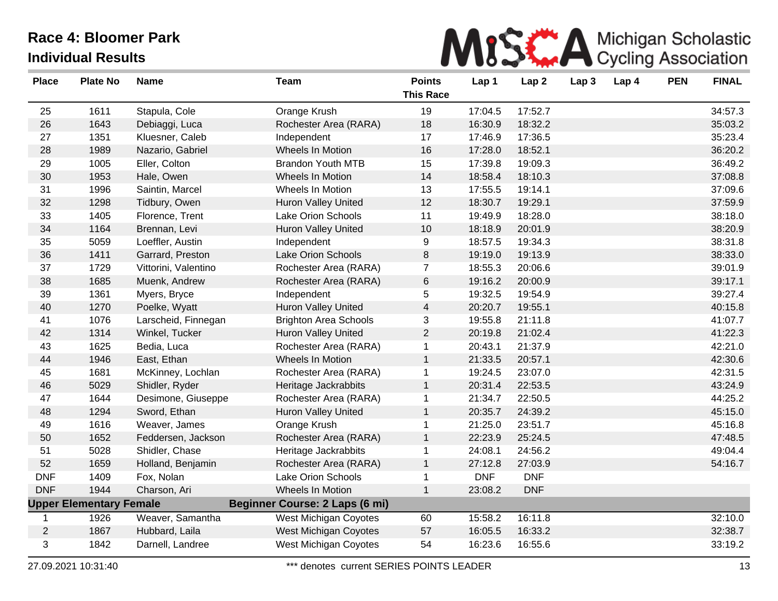

| <b>Place</b>   | <b>Plate No</b>                | <b>Name</b>          | <b>Team</b>                           | <b>Points</b><br><b>This Race</b> | Lap 1      | Lap <sub>2</sub> | Lap <sub>3</sub> | Lap 4 | <b>PEN</b> | <b>FINAL</b> |
|----------------|--------------------------------|----------------------|---------------------------------------|-----------------------------------|------------|------------------|------------------|-------|------------|--------------|
| 25             | 1611                           | Stapula, Cole        | Orange Krush                          | 19                                | 17:04.5    | 17:52.7          |                  |       |            | 34:57.3      |
| 26             | 1643                           | Debiaggi, Luca       | Rochester Area (RARA)                 | 18                                | 16:30.9    | 18:32.2          |                  |       |            | 35:03.2      |
| 27             | 1351                           | Kluesner, Caleb      | Independent                           | 17                                | 17:46.9    | 17:36.5          |                  |       |            | 35:23.4      |
| 28             | 1989                           | Nazario, Gabriel     | Wheels In Motion                      | 16                                | 17:28.0    | 18:52.1          |                  |       |            | 36:20.2      |
| 29             | 1005                           | Eller, Colton        | <b>Brandon Youth MTB</b>              | 15                                | 17:39.8    | 19:09.3          |                  |       |            | 36:49.2      |
| 30             | 1953                           | Hale, Owen           | Wheels In Motion                      | 14                                | 18:58.4    | 18:10.3          |                  |       |            | 37:08.8      |
| 31             | 1996                           | Saintin, Marcel      | Wheels In Motion                      | 13                                | 17:55.5    | 19:14.1          |                  |       |            | 37:09.6      |
| 32             | 1298                           | Tidbury, Owen        | <b>Huron Valley United</b>            | 12                                | 18:30.7    | 19:29.1          |                  |       |            | 37:59.9      |
| 33             | 1405                           | Florence, Trent      | Lake Orion Schools                    | 11                                | 19:49.9    | 18:28.0          |                  |       |            | 38:18.0      |
| 34             | 1164                           | Brennan, Levi        | <b>Huron Valley United</b>            | 10                                | 18:18.9    | 20:01.9          |                  |       |            | 38:20.9      |
| 35             | 5059                           | Loeffler, Austin     | Independent                           | 9                                 | 18:57.5    | 19:34.3          |                  |       |            | 38:31.8      |
| 36             | 1411                           | Garrard, Preston     | <b>Lake Orion Schools</b>             | 8                                 | 19:19.0    | 19:13.9          |                  |       |            | 38:33.0      |
| 37             | 1729                           | Vittorini, Valentino | Rochester Area (RARA)                 | $\overline{7}$                    | 18:55.3    | 20:06.6          |                  |       |            | 39:01.9      |
| 38             | 1685                           | Muenk, Andrew        | Rochester Area (RARA)                 | 6                                 | 19:16.2    | 20:00.9          |                  |       |            | 39:17.1      |
| 39             | 1361                           | Myers, Bryce         | Independent                           | 5                                 | 19:32.5    | 19:54.9          |                  |       |            | 39:27.4      |
| 40             | 1270                           | Poelke, Wyatt        | <b>Huron Valley United</b>            | $\overline{\mathbf{4}}$           | 20:20.7    | 19:55.1          |                  |       |            | 40:15.8      |
| 41             | 1076                           | Larscheid, Finnegan  | <b>Brighton Area Schools</b>          | 3                                 | 19:55.8    | 21:11.8          |                  |       |            | 41:07.7      |
| 42             | 1314                           | Winkel, Tucker       | <b>Huron Valley United</b>            | $\overline{2}$                    | 20:19.8    | 21:02.4          |                  |       |            | 41:22.3      |
| 43             | 1625                           | Bedia, Luca          | Rochester Area (RARA)                 | $\mathbf{1}$                      | 20:43.1    | 21:37.9          |                  |       |            | 42:21.0      |
| 44             | 1946                           | East, Ethan          | Wheels In Motion                      | $\mathbf{1}$                      | 21:33.5    | 20:57.1          |                  |       |            | 42:30.6      |
| 45             | 1681                           | McKinney, Lochlan    | Rochester Area (RARA)                 | $\mathbf{1}$                      | 19:24.5    | 23:07.0          |                  |       |            | 42:31.5      |
| 46             | 5029                           | Shidler, Ryder       | Heritage Jackrabbits                  | $\mathbf{1}$                      | 20:31.4    | 22:53.5          |                  |       |            | 43:24.9      |
| 47             | 1644                           | Desimone, Giuseppe   | Rochester Area (RARA)                 | $\mathbf{1}$                      | 21:34.7    | 22:50.5          |                  |       |            | 44:25.2      |
| 48             | 1294                           | Sword, Ethan         | <b>Huron Valley United</b>            | $\mathbf{1}$                      | 20:35.7    | 24:39.2          |                  |       |            | 45:15.0      |
| 49             | 1616                           | Weaver, James        | Orange Krush                          | $\mathbf{1}$                      | 21:25.0    | 23:51.7          |                  |       |            | 45:16.8      |
| 50             | 1652                           | Feddersen, Jackson   | Rochester Area (RARA)                 | $\mathbf{1}$                      | 22:23.9    | 25:24.5          |                  |       |            | 47:48.5      |
| 51             | 5028                           | Shidler, Chase       | Heritage Jackrabbits                  | $\mathbf{1}$                      | 24:08.1    | 24:56.2          |                  |       |            | 49:04.4      |
| 52             | 1659                           | Holland, Benjamin    | Rochester Area (RARA)                 | $\mathbf{1}$                      | 27:12.8    | 27:03.9          |                  |       |            | 54:16.7      |
| <b>DNF</b>     | 1409                           | Fox, Nolan           | Lake Orion Schools                    | $\mathbf{1}$                      | <b>DNF</b> | <b>DNF</b>       |                  |       |            |              |
| <b>DNF</b>     | 1944                           | Charson, Ari         | Wheels In Motion                      | $\mathbf{1}$                      | 23:08.2    | <b>DNF</b>       |                  |       |            |              |
|                | <b>Upper Elementary Female</b> |                      | <b>Beginner Course: 2 Laps (6 mi)</b> |                                   |            |                  |                  |       |            |              |
| -1             | 1926                           | Weaver, Samantha     | <b>West Michigan Coyotes</b>          | 60                                | 15:58.2    | 16:11.8          |                  |       |            | 32:10.0      |
| $\overline{2}$ | 1867                           | Hubbard, Laila       | West Michigan Coyotes                 | 57                                | 16:05.5    | 16:33.2          |                  |       |            | 32:38.7      |
| 3              | 1842                           | Darnell, Landree     | West Michigan Coyotes                 | 54                                | 16:23.6    | 16:55.6          |                  |       |            | 33:19.2      |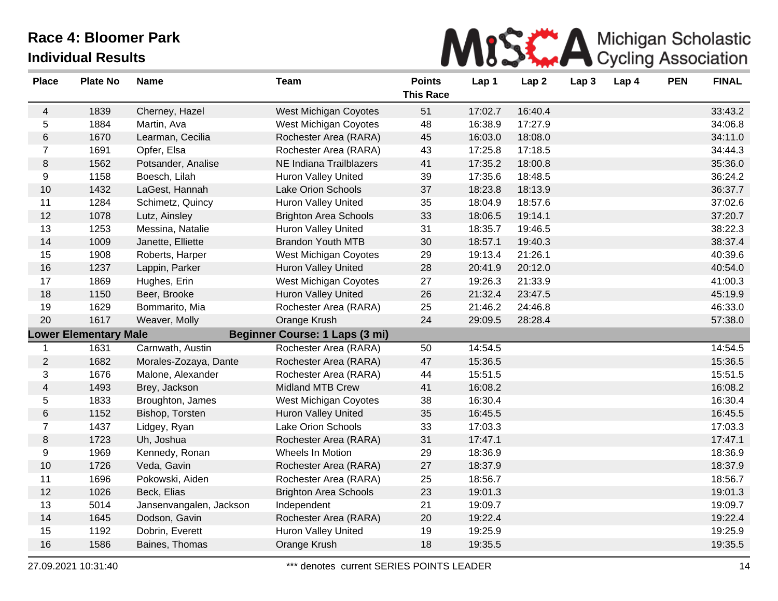

| <b>Place</b>                                                   | <b>Plate No</b> | <b>Name</b>             | <b>Team</b>                  | <b>Points</b><br><b>This Race</b> | Lap 1   | Lap <sub>2</sub> | Lap <sub>3</sub> | Lap 4 | <b>PEN</b> | <b>FINAL</b> |
|----------------------------------------------------------------|-----------------|-------------------------|------------------------------|-----------------------------------|---------|------------------|------------------|-------|------------|--------------|
| 4                                                              | 1839            | Cherney, Hazel          | West Michigan Coyotes        | 51                                | 17:02.7 | 16:40.4          |                  |       |            | 33:43.2      |
| 5                                                              | 1884            | Martin, Ava             | West Michigan Coyotes        | 48                                | 16:38.9 | 17:27.9          |                  |       |            | 34:06.8      |
| 6                                                              | 1670            | Learman, Cecilia        | Rochester Area (RARA)        | 45                                | 16:03.0 | 18:08.0          |                  |       |            | 34:11.0      |
| $\overline{7}$                                                 | 1691            | Opfer, Elsa             | Rochester Area (RARA)        | 43                                | 17:25.8 | 17:18.5          |                  |       |            | 34:44.3      |
| $\, 8$                                                         | 1562            | Potsander, Analise      | NE Indiana Trailblazers      | 41                                | 17:35.2 | 18:00.8          |                  |       |            | 35:36.0      |
| 9                                                              | 1158            | Boesch, Lilah           | Huron Valley United          | 39                                | 17:35.6 | 18:48.5          |                  |       |            | 36:24.2      |
| 10                                                             | 1432            | LaGest, Hannah          | Lake Orion Schools           | 37                                | 18:23.8 | 18:13.9          |                  |       |            | 36:37.7      |
| 11                                                             | 1284            | Schimetz, Quincy        | <b>Huron Valley United</b>   | 35                                | 18:04.9 | 18:57.6          |                  |       |            | 37:02.6      |
| 12                                                             | 1078            | Lutz, Ainsley           | <b>Brighton Area Schools</b> | 33                                | 18:06.5 | 19:14.1          |                  |       |            | 37:20.7      |
| 13                                                             | 1253            | Messina, Natalie        | Huron Valley United          | 31                                | 18:35.7 | 19:46.5          |                  |       |            | 38:22.3      |
| 14                                                             | 1009            | Janette, Elliette       | <b>Brandon Youth MTB</b>     | 30                                | 18:57.1 | 19:40.3          |                  |       |            | 38:37.4      |
| 15                                                             | 1908            | Roberts, Harper         | West Michigan Coyotes        | 29                                | 19:13.4 | 21:26.1          |                  |       |            | 40:39.6      |
| 16                                                             | 1237            | Lappin, Parker          | <b>Huron Valley United</b>   | 28                                | 20:41.9 | 20:12.0          |                  |       |            | 40:54.0      |
| 17                                                             | 1869            | Hughes, Erin            | West Michigan Coyotes        | 27                                | 19:26.3 | 21:33.9          |                  |       |            | 41:00.3      |
| 18                                                             | 1150            | Beer, Brooke            | <b>Huron Valley United</b>   | 26                                | 21:32.4 | 23:47.5          |                  |       |            | 45:19.9      |
| 19                                                             | 1629            | Bommarito, Mia          | Rochester Area (RARA)        | 25                                | 21:46.2 | 24:46.8          |                  |       |            | 46:33.0      |
| 20                                                             | 1617            | Weaver, Molly           | Orange Krush                 | 24                                | 29:09.5 | 28:28.4          |                  |       |            | 57:38.0      |
| Beginner Course: 1 Laps (3 mi)<br><b>Lower Elementary Male</b> |                 |                         |                              |                                   |         |                  |                  |       |            |              |
| 1                                                              | 1631            | Carnwath, Austin        | Rochester Area (RARA)        | 50                                | 14:54.5 |                  |                  |       |            | 14:54.5      |
| $\overline{2}$                                                 | 1682            | Morales-Zozaya, Dante   | Rochester Area (RARA)        | 47                                | 15:36.5 |                  |                  |       |            | 15:36.5      |
| 3                                                              | 1676            | Malone, Alexander       | Rochester Area (RARA)        | 44                                | 15:51.5 |                  |                  |       |            | 15:51.5      |
| 4                                                              | 1493            | Brey, Jackson           | Midland MTB Crew             | 41                                | 16:08.2 |                  |                  |       |            | 16:08.2      |
| 5                                                              | 1833            | Broughton, James        | West Michigan Coyotes        | 38                                | 16:30.4 |                  |                  |       |            | 16:30.4      |
| 6                                                              | 1152            | Bishop, Torsten         | <b>Huron Valley United</b>   | 35                                | 16:45.5 |                  |                  |       |            | 16:45.5      |
| $\overline{7}$                                                 | 1437            | Lidgey, Ryan            | Lake Orion Schools           | 33                                | 17:03.3 |                  |                  |       |            | 17:03.3      |
| $\, 8$                                                         | 1723            | Uh, Joshua              | Rochester Area (RARA)        | 31                                | 17:47.1 |                  |                  |       |            | 17:47.1      |
| 9                                                              | 1969            | Kennedy, Ronan          | Wheels In Motion             | 29                                | 18:36.9 |                  |                  |       |            | 18:36.9      |
| $10$                                                           | 1726            | Veda, Gavin             | Rochester Area (RARA)        | 27                                | 18:37.9 |                  |                  |       |            | 18:37.9      |
| 11                                                             | 1696            | Pokowski, Aiden         | Rochester Area (RARA)        | 25                                | 18:56.7 |                  |                  |       |            | 18:56.7      |
| 12                                                             | 1026            | Beck, Elias             | <b>Brighton Area Schools</b> | 23                                | 19:01.3 |                  |                  |       |            | 19:01.3      |
| 13                                                             | 5014            | Jansenvangalen, Jackson | Independent                  | 21                                | 19:09.7 |                  |                  |       |            | 19:09.7      |
| 14                                                             | 1645            | Dodson, Gavin           | Rochester Area (RARA)        | 20                                | 19:22.4 |                  |                  |       |            | 19:22.4      |
| 15                                                             | 1192            | Dobrin, Everett         | <b>Huron Valley United</b>   | 19                                | 19:25.9 |                  |                  |       |            | 19:25.9      |
| 16                                                             | 1586            | Baines, Thomas          | Orange Krush                 | 18                                | 19:35.5 |                  |                  |       |            | 19:35.5      |
|                                                                |                 |                         |                              |                                   |         |                  |                  |       |            |              |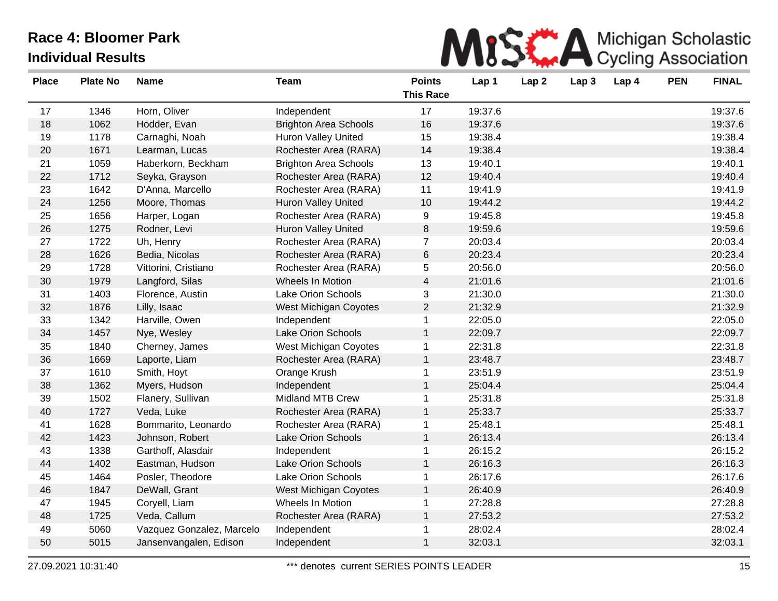

| <b>Place</b> | <b>Plate No</b> | <b>Name</b>               | <b>Team</b>                  | <b>Points</b><br><b>This Race</b> | Lap 1   | Lap <sub>2</sub> | Lap <sub>3</sub> | Lap 4 | <b>PEN</b> | <b>FINAL</b> |
|--------------|-----------------|---------------------------|------------------------------|-----------------------------------|---------|------------------|------------------|-------|------------|--------------|
| 17           | 1346            | Horn, Oliver              | Independent                  | 17                                | 19:37.6 |                  |                  |       |            | 19:37.6      |
| 18           | 1062            | Hodder, Evan              | <b>Brighton Area Schools</b> | 16                                | 19:37.6 |                  |                  |       |            | 19:37.6      |
| 19           | 1178            | Carnaghi, Noah            | <b>Huron Valley United</b>   | 15                                | 19:38.4 |                  |                  |       |            | 19:38.4      |
| 20           | 1671            | Learman, Lucas            | Rochester Area (RARA)        | 14                                | 19:38.4 |                  |                  |       |            | 19:38.4      |
| 21           | 1059            | Haberkorn, Beckham        | <b>Brighton Area Schools</b> | 13                                | 19:40.1 |                  |                  |       |            | 19:40.1      |
| 22           | 1712            | Seyka, Grayson            | Rochester Area (RARA)        | 12                                | 19:40.4 |                  |                  |       |            | 19:40.4      |
| 23           | 1642            | D'Anna, Marcello          | Rochester Area (RARA)        | 11                                | 19:41.9 |                  |                  |       |            | 19:41.9      |
| 24           | 1256            | Moore, Thomas             | <b>Huron Valley United</b>   | 10                                | 19:44.2 |                  |                  |       |            | 19:44.2      |
| 25           | 1656            | Harper, Logan             | Rochester Area (RARA)        | 9                                 | 19:45.8 |                  |                  |       |            | 19:45.8      |
| 26           | 1275            | Rodner, Levi              | <b>Huron Valley United</b>   | 8                                 | 19:59.6 |                  |                  |       |            | 19:59.6      |
| 27           | 1722            | Uh, Henry                 | Rochester Area (RARA)        | $\overline{7}$                    | 20:03.4 |                  |                  |       |            | 20:03.4      |
| 28           | 1626            | Bedia, Nicolas            | Rochester Area (RARA)        | 6                                 | 20:23.4 |                  |                  |       |            | 20:23.4      |
| 29           | 1728            | Vittorini, Cristiano      | Rochester Area (RARA)        | 5                                 | 20:56.0 |                  |                  |       |            | 20:56.0      |
| 30           | 1979            | Langford, Silas           | Wheels In Motion             | $\overline{4}$                    | 21:01.6 |                  |                  |       |            | 21:01.6      |
| 31           | 1403            | Florence, Austin          | <b>Lake Orion Schools</b>    | 3                                 | 21:30.0 |                  |                  |       |            | 21:30.0      |
| 32           | 1876            | Lilly, Isaac              | West Michigan Coyotes        | $\overline{2}$                    | 21:32.9 |                  |                  |       |            | 21:32.9      |
| 33           | 1342            | Harville, Owen            | Independent                  | $\mathbf{1}$                      | 22:05.0 |                  |                  |       |            | 22:05.0      |
| 34           | 1457            | Nye, Wesley               | Lake Orion Schools           | 1                                 | 22:09.7 |                  |                  |       |            | 22:09.7      |
| 35           | 1840            | Cherney, James            | <b>West Michigan Coyotes</b> | $\mathbf 1$                       | 22:31.8 |                  |                  |       |            | 22:31.8      |
| 36           | 1669            | Laporte, Liam             | Rochester Area (RARA)        | $\mathbf{1}$                      | 23:48.7 |                  |                  |       |            | 23:48.7      |
| 37           | 1610            | Smith, Hoyt               | Orange Krush                 | 1                                 | 23:51.9 |                  |                  |       |            | 23:51.9      |
| 38           | 1362            | Myers, Hudson             | Independent                  | $\mathbf{1}$                      | 25:04.4 |                  |                  |       |            | 25:04.4      |
| 39           | 1502            | Flanery, Sullivan         | <b>Midland MTB Crew</b>      | 1                                 | 25:31.8 |                  |                  |       |            | 25:31.8      |
| 40           | 1727            | Veda, Luke                | Rochester Area (RARA)        | $\mathbf{1}$                      | 25:33.7 |                  |                  |       |            | 25:33.7      |
| 41           | 1628            | Bommarito, Leonardo       | Rochester Area (RARA)        | $\mathbf{1}$                      | 25:48.1 |                  |                  |       |            | 25:48.1      |
| 42           | 1423            | Johnson, Robert           | Lake Orion Schools           | $\mathbf{1}$                      | 26:13.4 |                  |                  |       |            | 26:13.4      |
| 43           | 1338            | Garthoff, Alasdair        | Independent                  | $\mathbf 1$                       | 26:15.2 |                  |                  |       |            | 26:15.2      |
| 44           | 1402            | Eastman, Hudson           | <b>Lake Orion Schools</b>    | $\mathbf{1}$                      | 26:16.3 |                  |                  |       |            | 26:16.3      |
| 45           | 1464            | Posler, Theodore          | Lake Orion Schools           | 1                                 | 26:17.6 |                  |                  |       |            | 26:17.6      |
| 46           | 1847            | DeWall, Grant             | West Michigan Coyotes        | $\mathbf{1}$                      | 26:40.9 |                  |                  |       |            | 26:40.9      |
| 47           | 1945            | Coryell, Liam             | Wheels In Motion             | $\mathbf 1$                       | 27:28.8 |                  |                  |       |            | 27:28.8      |
| 48           | 1725            | Veda, Callum              | Rochester Area (RARA)        | $\mathbf{1}$                      | 27:53.2 |                  |                  |       |            | 27:53.2      |
| 49           | 5060            | Vazquez Gonzalez, Marcelo | Independent                  | 1                                 | 28:02.4 |                  |                  |       |            | 28:02.4      |
| 50           | 5015            | Jansenvangalen, Edison    | Independent                  | $\mathbf{1}$                      | 32:03.1 |                  |                  |       |            | 32:03.1      |